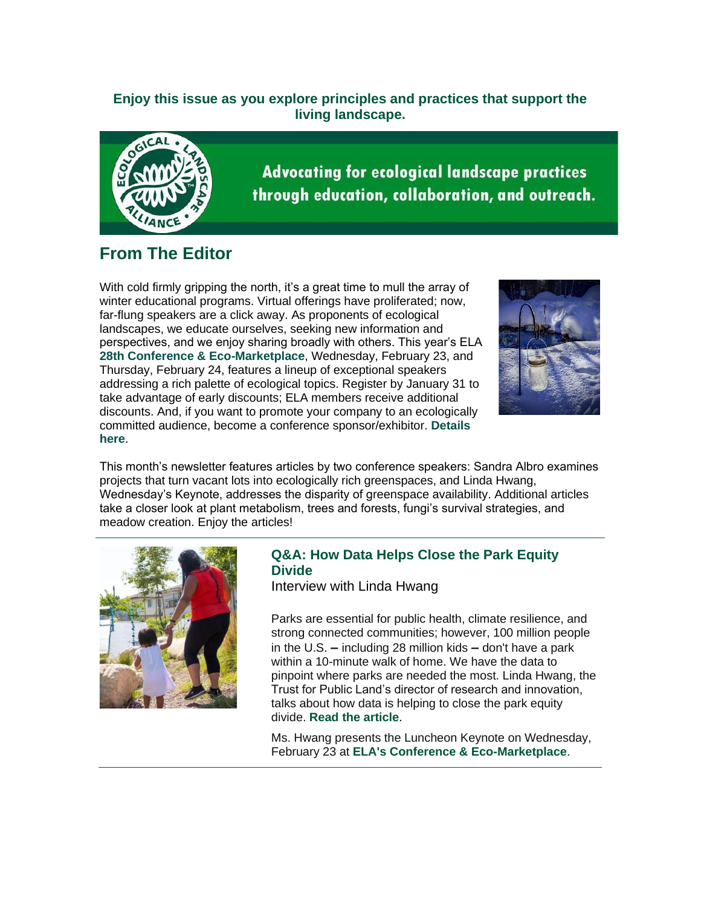**Enjoy this issue as you explore principles and practices that support the living landscape.**



**Advocating for ecological landscape practices** through education, collaboration, and outreach.

## **From The Editor**

With cold firmly gripping the north, it's a great time to mull the array of winter educational programs. Virtual offerings have proliferated; now, far-flung speakers are a click away. As proponents of ecological landscapes, we educate ourselves, seeking new information and perspectives, and we enjoy sharing broadly with others. This year's ELA **[28th Conference & Eco-Marketplace](https://r20.rs6.net/tn.jsp?f=001vWgQe0DXWKdwwzEaGI7jLPKSDrVV0Yewh7b1BtEW0KM0RgX5Qn7CGeeaQBsNAzrbjF6pJc3eLvv3P_S11tuHUaWyPL5dPh3H9aghfJgAKBR-AZ28PrpxUmmdsOeupOg2_sT8zM_swecrnDwEdOcwqYPQEzjpOLQ9--91_3h1nGq08TuPRHxMOkQ73yhlQH8RTz2CZcee7RvsRGlq3lSvDOZeawN79l6svegwnqOl2qg=&c=76Jm-J8IhPrvXQu9GUt44I9L74L0mO6nnn77TSSLOv2UcXrLtPtN7w==&ch=gJJzEfe6o2i3_bNGDvTuSEkQck2CGvKxchOVImpbuJKAByRJ34DBgw==)**, Wednesday, February 23, and Thursday, February 24, features a lineup of exceptional speakers addressing a rich palette of ecological topics. Register by January 31 to take advantage of early discounts; ELA members receive additional discounts. And, if you want to promote your company to an ecologically committed audience, become a conference sponsor/exhibitor. **[Details](https://r20.rs6.net/tn.jsp?f=001vWgQe0DXWKdwwzEaGI7jLPKSDrVV0Yewh7b1BtEW0KM0RgX5Qn7CGUehUMK_JJZ92NTaipyg8_7Kih7qW4ot6XueisKW3FtdROCluriSUOTZoZ8ILPXuHFo8tyyUyfhOvo2CS7VF_CA4RJGUldRXVBV81kextCPXTj4O0XbgPlRU2g4HxoIqPXjA4VVksmQEi2Y35bPh7PI=&c=76Jm-J8IhPrvXQu9GUt44I9L74L0mO6nnn77TSSLOv2UcXrLtPtN7w==&ch=gJJzEfe6o2i3_bNGDvTuSEkQck2CGvKxchOVImpbuJKAByRJ34DBgw==)  [here](https://r20.rs6.net/tn.jsp?f=001vWgQe0DXWKdwwzEaGI7jLPKSDrVV0Yewh7b1BtEW0KM0RgX5Qn7CGUehUMK_JJZ92NTaipyg8_7Kih7qW4ot6XueisKW3FtdROCluriSUOTZoZ8ILPXuHFo8tyyUyfhOvo2CS7VF_CA4RJGUldRXVBV81kextCPXTj4O0XbgPlRU2g4HxoIqPXjA4VVksmQEi2Y35bPh7PI=&c=76Jm-J8IhPrvXQu9GUt44I9L74L0mO6nnn77TSSLOv2UcXrLtPtN7w==&ch=gJJzEfe6o2i3_bNGDvTuSEkQck2CGvKxchOVImpbuJKAByRJ34DBgw==)**.



This month's newsletter features articles by two conference speakers: Sandra Albro examines projects that turn vacant lots into ecologically rich greenspaces, and Linda Hwang, Wednesday's Keynote, addresses the disparity of greenspace availability. Additional articles take a closer look at plant metabolism, trees and forests, fungi's survival strategies, and meadow creation. Enjoy the articles!



## **Q&A: How Data Helps Close the Park Equity Divide**

Interview with Linda Hwang

Parks are essential for public health, climate resilience, and strong connected communities; however, 100 million people in the U.S. **–** including 28 million kids **–** don't have a park within a 10-minute walk of home. We have the data to pinpoint where parks are needed the most. Linda Hwang, the Trust for Public Land's director of research and innovation, talks about how data is helping to close the park equity divide. **[Read the article](https://r20.rs6.net/tn.jsp?f=001vWgQe0DXWKdwwzEaGI7jLPKSDrVV0Yewh7b1BtEW0KM0RgX5Qn7CGUehUMK_JJZ9_Fg_k2shs4JkGX-jiXnAbrqdijJKa2wPtul80RTGdKqFtu10Y6xgixfN2uZIBCCPg7q6A6lfrn0xIf0DsIwv-eSPI9tFE-anSmtXyA6XQrX8QhrwWYQ5lwEfm8ij3Z5OyfVyszl-OgVsQauxZNqKr_7EL-cqI23G_MaY4uoOj1uVDIINRETs3JycM5kNiMmSTQJycmSfTk20LdHv07B2ioRgQfpq13djNoAfGIDzf_YYE138qwfAhQ==&c=76Jm-J8IhPrvXQu9GUt44I9L74L0mO6nnn77TSSLOv2UcXrLtPtN7w==&ch=gJJzEfe6o2i3_bNGDvTuSEkQck2CGvKxchOVImpbuJKAByRJ34DBgw==)**.

Ms. Hwang presents the Luncheon Keynote on Wednesday, February 23 at **[ELA's Conference & Eco-Marketplace](https://r20.rs6.net/tn.jsp?f=001vWgQe0DXWKdwwzEaGI7jLPKSDrVV0Yewh7b1BtEW0KM0RgX5Qn7CGeeaQBsNAzrbjF6pJc3eLvv3P_S11tuHUaWyPL5dPh3H9aghfJgAKBR-AZ28PrpxUmmdsOeupOg2_sT8zM_swecrnDwEdOcwqYPQEzjpOLQ9--91_3h1nGq08TuPRHxMOkQ73yhlQH8RTz2CZcee7RvsRGlq3lSvDOZeawN79l6svegwnqOl2qg=&c=76Jm-J8IhPrvXQu9GUt44I9L74L0mO6nnn77TSSLOv2UcXrLtPtN7w==&ch=gJJzEfe6o2i3_bNGDvTuSEkQck2CGvKxchOVImpbuJKAByRJ34DBgw==)**.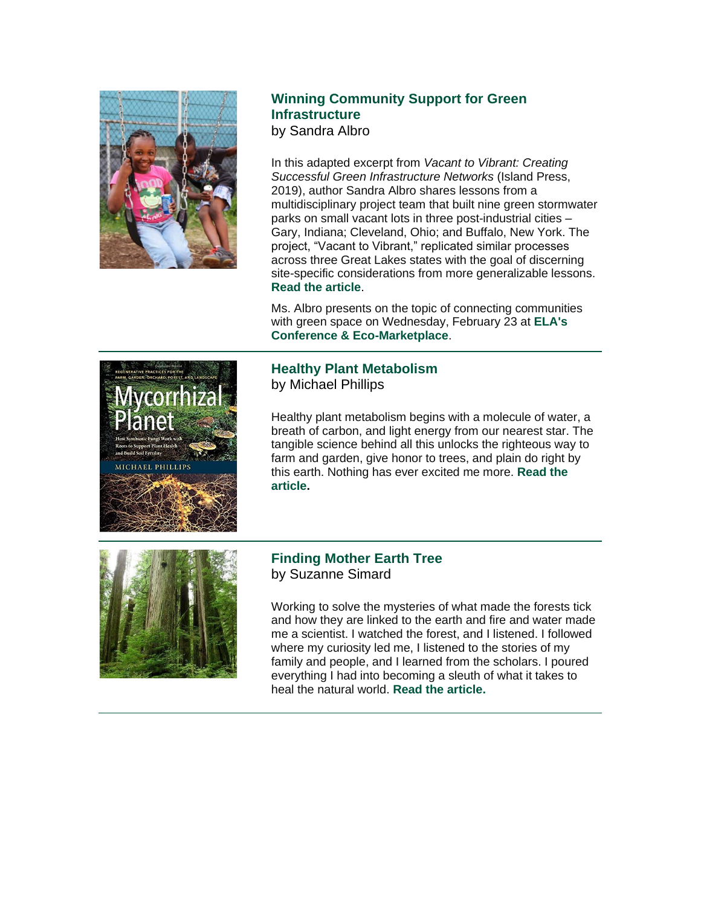

## **Winning Community Support for Green Infrastructure**

by Sandra Albro

In this adapted excerpt from *Vacant to Vibrant: Creating Successful Green Infrastructure Networks* (Island Press, 2019), author Sandra Albro shares lessons from a multidisciplinary project team that built nine green stormwater parks on small vacant lots in three post-industrial cities – Gary, Indiana; Cleveland, Ohio; and Buffalo, New York. The project, "Vacant to Vibrant," replicated similar processes across three Great Lakes states with the goal of discerning site-specific considerations from more generalizable lessons. **[Read the article](https://r20.rs6.net/tn.jsp?f=001vWgQe0DXWKdwwzEaGI7jLPKSDrVV0Yewh7b1BtEW0KM0RgX5Qn7CGUehUMK_JJZ94_VpZhX5OgbMJB6erUDrunGYHPjdgI2T4gmj4jf9Z-4PG2Lt4C4KOt4t1Hh_WCZfA9fTgg-fnOZlJw79B8AYBL0A7jXbODZmD3VhFmu6LEiuGjwlrSCApnQin-b5qscgq5am2eJVnu9r6E-LVWWK9RLgyLE-t93-FryVubzuHHdBGkJ6ba64StOcOlq1B2HScMGHhDrhyjOJb9LI_Lnpir7DWdEO4ybtFOReoTUmABoJEDGUmmcbmA==&c=76Jm-J8IhPrvXQu9GUt44I9L74L0mO6nnn77TSSLOv2UcXrLtPtN7w==&ch=gJJzEfe6o2i3_bNGDvTuSEkQck2CGvKxchOVImpbuJKAByRJ34DBgw==)**.

Ms. Albro presents on the topic of connecting communities with green space on Wednesday, February 23 at **[ELA's](https://r20.rs6.net/tn.jsp?f=001vWgQe0DXWKdwwzEaGI7jLPKSDrVV0Yewh7b1BtEW0KM0RgX5Qn7CGeeaQBsNAzrbjF6pJc3eLvv3P_S11tuHUaWyPL5dPh3H9aghfJgAKBR-AZ28PrpxUmmdsOeupOg2_sT8zM_swecrnDwEdOcwqYPQEzjpOLQ9--91_3h1nGq08TuPRHxMOkQ73yhlQH8RTz2CZcee7RvsRGlq3lSvDOZeawN79l6svegwnqOl2qg=&c=76Jm-J8IhPrvXQu9GUt44I9L74L0mO6nnn77TSSLOv2UcXrLtPtN7w==&ch=gJJzEfe6o2i3_bNGDvTuSEkQck2CGvKxchOVImpbuJKAByRJ34DBgw==)  [Conference & Eco-Marketplace](https://r20.rs6.net/tn.jsp?f=001vWgQe0DXWKdwwzEaGI7jLPKSDrVV0Yewh7b1BtEW0KM0RgX5Qn7CGeeaQBsNAzrbjF6pJc3eLvv3P_S11tuHUaWyPL5dPh3H9aghfJgAKBR-AZ28PrpxUmmdsOeupOg2_sT8zM_swecrnDwEdOcwqYPQEzjpOLQ9--91_3h1nGq08TuPRHxMOkQ73yhlQH8RTz2CZcee7RvsRGlq3lSvDOZeawN79l6svegwnqOl2qg=&c=76Jm-J8IhPrvXQu9GUt44I9L74L0mO6nnn77TSSLOv2UcXrLtPtN7w==&ch=gJJzEfe6o2i3_bNGDvTuSEkQck2CGvKxchOVImpbuJKAByRJ34DBgw==)**.

### **Healthy Plant Metabolism** by Michael Phillips

Healthy plant metabolism begins with a molecule of water, a breath of carbon, and light energy from our nearest star. The tangible science behind all this unlocks the righteous way to farm and garden, give honor to trees, and plain do right by this earth. Nothing has ever excited me more. **[Read the](https://r20.rs6.net/tn.jsp?f=001vWgQe0DXWKdwwzEaGI7jLPKSDrVV0Yewh7b1BtEW0KM0RgX5Qn7CGUehUMK_JJZ9_ydNv4RljE74AtS5E1Px6OayEyK2Hy81xGWncFT7hbwv-fJfghQqulJZ5u7wGj23rbZUjGGweNMEfeMWwmCWQw_tyf8_kVmzAUJR95_77MujknZ_iYZQigqF12_BHDDtOHKHhEmFQwrtSK3Rf9LfF4uF8imTum7CnWRWp97l6tM=&c=76Jm-J8IhPrvXQu9GUt44I9L74L0mO6nnn77TSSLOv2UcXrLtPtN7w==&ch=gJJzEfe6o2i3_bNGDvTuSEkQck2CGvKxchOVImpbuJKAByRJ34DBgw==)  [article.](https://r20.rs6.net/tn.jsp?f=001vWgQe0DXWKdwwzEaGI7jLPKSDrVV0Yewh7b1BtEW0KM0RgX5Qn7CGUehUMK_JJZ9_ydNv4RljE74AtS5E1Px6OayEyK2Hy81xGWncFT7hbwv-fJfghQqulJZ5u7wGj23rbZUjGGweNMEfeMWwmCWQw_tyf8_kVmzAUJR95_77MujknZ_iYZQigqF12_BHDDtOHKHhEmFQwrtSK3Rf9LfF4uF8imTum7CnWRWp97l6tM=&c=76Jm-J8IhPrvXQu9GUt44I9L74L0mO6nnn77TSSLOv2UcXrLtPtN7w==&ch=gJJzEfe6o2i3_bNGDvTuSEkQck2CGvKxchOVImpbuJKAByRJ34DBgw==)**



Wweerrh

MICHAEL PHILLIPS

## **Finding Mother Earth Tree** by Suzanne Simard

Working to solve the mysteries of what made the forests tick and how they are linked to the earth and fire and water made me a scientist. I watched the forest, and I listened. I followed where my curiosity led me, I listened to the stories of my family and people, and I learned from the scholars. I poured everything I had into becoming a sleuth of what it takes to heal the natural world. **[Read the article.](https://r20.rs6.net/tn.jsp?f=001vWgQe0DXWKdwwzEaGI7jLPKSDrVV0Yewh7b1BtEW0KM0RgX5Qn7CGUehUMK_JJZ9x2HMfQ1m7EyJsuZdxkFr_q9b6IpIUV8M6p5wMpC48BgoBZ8G7d1RxKfFWlZW9C7nVia_A0nyCZGOw_TtivuUGbE1NOx-4qVAvxd8H7hcWhGe4I8uaYBm63U5ANskc5m_KR6zv769BUimv1VeB-XBXoTym8TlN5Zn&c=76Jm-J8IhPrvXQu9GUt44I9L74L0mO6nnn77TSSLOv2UcXrLtPtN7w==&ch=gJJzEfe6o2i3_bNGDvTuSEkQck2CGvKxchOVImpbuJKAByRJ34DBgw==)**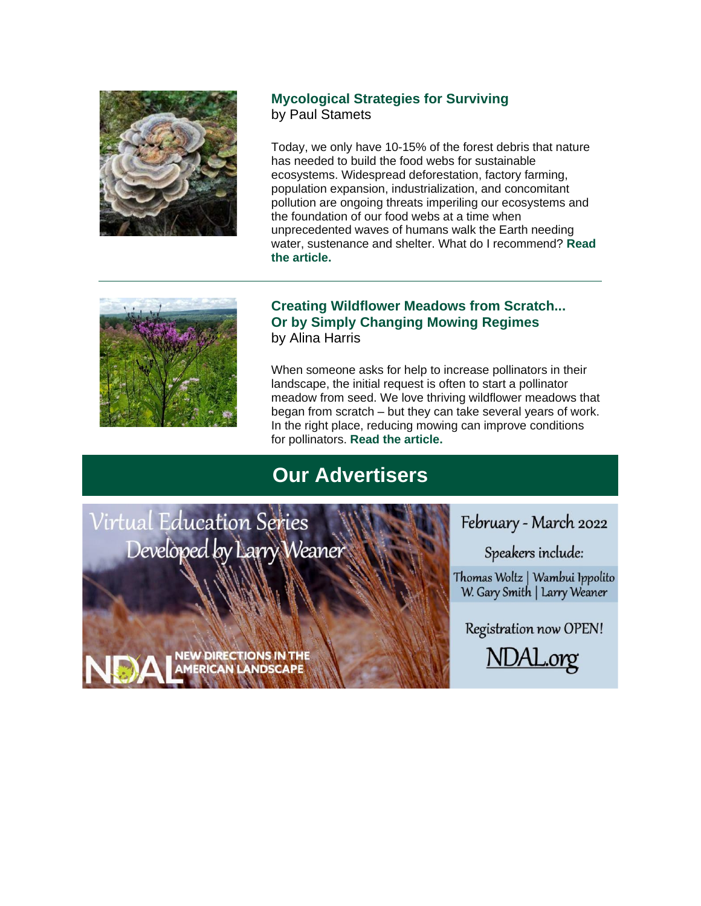

## **Mycological Strategies for Surviving** by Paul Stamets

Today, we only have 10-15% of the forest debris that nature has needed to build the food webs for sustainable ecosystems. Widespread deforestation, factory farming, population expansion, industrialization, and concomitant pollution are ongoing threats imperiling our ecosystems and the foundation of our food webs at a time when unprecedented waves of humans walk the Earth needing water, sustenance and shelter. What do I recommend? **[Read](https://r20.rs6.net/tn.jsp?f=001vWgQe0DXWKdwwzEaGI7jLPKSDrVV0Yewh7b1BtEW0KM0RgX5Qn7CGUehUMK_JJZ9QFnK9ppSMEESjbUA_NHUxupg_uz4441Lg25izZj9hW4j_et2KXO7gBTM5fxqLoH9rfMfzOH-_4NxVRbEK8zo66fiMiuuLkGOca1iSPhZ1iPf0XI1asj7G3b-u3nyknP_LQWIDFYgAvy-3JK7rheQR0Ir0Q7d6Qk98iXyorrGYLox3sDMekgnDGmu5GCsggx5n0Zn-0xcBdci6Eikt4dWPw==&c=76Jm-J8IhPrvXQu9GUt44I9L74L0mO6nnn77TSSLOv2UcXrLtPtN7w==&ch=gJJzEfe6o2i3_bNGDvTuSEkQck2CGvKxchOVImpbuJKAByRJ34DBgw==)  [the article.](https://r20.rs6.net/tn.jsp?f=001vWgQe0DXWKdwwzEaGI7jLPKSDrVV0Yewh7b1BtEW0KM0RgX5Qn7CGUehUMK_JJZ9QFnK9ppSMEESjbUA_NHUxupg_uz4441Lg25izZj9hW4j_et2KXO7gBTM5fxqLoH9rfMfzOH-_4NxVRbEK8zo66fiMiuuLkGOca1iSPhZ1iPf0XI1asj7G3b-u3nyknP_LQWIDFYgAvy-3JK7rheQR0Ir0Q7d6Qk98iXyorrGYLox3sDMekgnDGmu5GCsggx5n0Zn-0xcBdci6Eikt4dWPw==&c=76Jm-J8IhPrvXQu9GUt44I9L74L0mO6nnn77TSSLOv2UcXrLtPtN7w==&ch=gJJzEfe6o2i3_bNGDvTuSEkQck2CGvKxchOVImpbuJKAByRJ34DBgw==)**



## **Creating Wildflower Meadows from Scratch... Or by Simply Changing Mowing Regimes** by Alina Harris

When someone asks for help to increase pollinators in their landscape, the initial request is often to start a pollinator meadow from seed. We love thriving wildflower meadows that began from scratch – but they can take several years of work. In the right place, reducing mowing can improve conditions for pollinators. **[Read the article.](https://r20.rs6.net/tn.jsp?f=001vWgQe0DXWKdwwzEaGI7jLPKSDrVV0Yewh7b1BtEW0KM0RgX5Qn7CGUehUMK_JJZ94-SfcUY-uyhJT3Z8dVwwgOjBhyo9RgqtiOOm3LjTB6zFTUgQTkm-nFpUsglFX5IizlsPf4tPnoNeoNwhT_jOaiY2DyxhQ-qBT5_xNj5I-cvuX3pxvMppj63APJXiaKZ1dBRynavU2dg35k2F1AI_TVcl0bhQg2w9BpNgc8IOHTqK6xWczefAUSxegNjC2FnZUIJmutxZRt7LCgy43BaU1TPj-g-mc04m-Axrt92B-3IZvjuxZ0PM8qgfDffAR5yO9qp4qEsRe_w=&c=76Jm-J8IhPrvXQu9GUt44I9L74L0mO6nnn77TSSLOv2UcXrLtPtN7w==&ch=gJJzEfe6o2i3_bNGDvTuSEkQck2CGvKxchOVImpbuJKAByRJ34DBgw==)**

## **Our Advertisers**

Virtual Education Series Developed by Larry Weaner

> **NEW DIRECTIONS IN THE AMERICAN LANDSCAPE**

February - March 2022

Speakers include:

Thomas Woltz | Wambui Ippolito W. Gary Smith | Larry Weaner

Registration now OPEN!

NDAL.org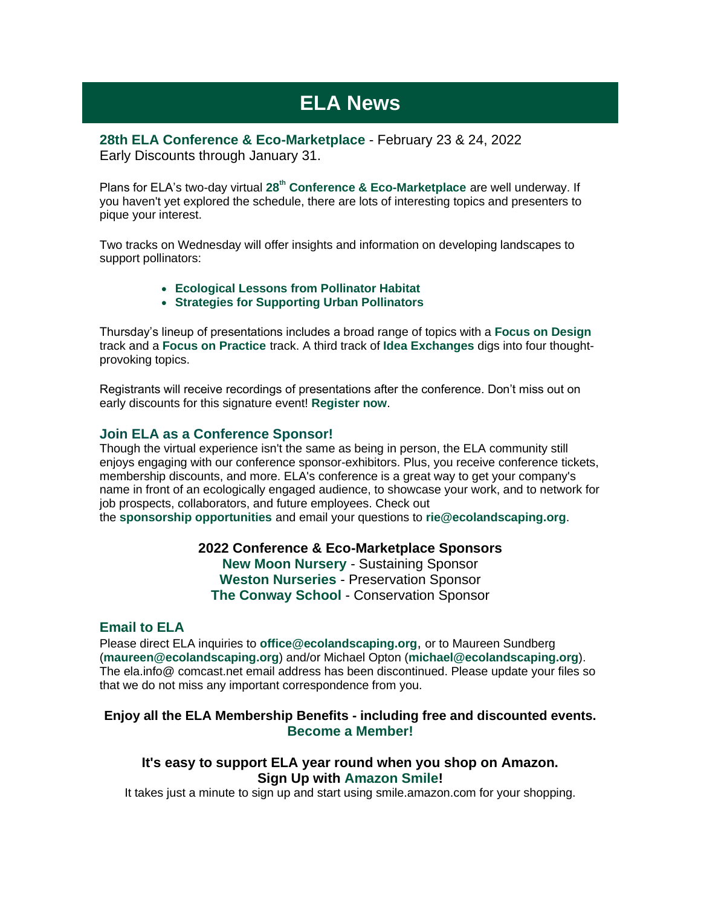## **ELA News**

**[28th ELA Conference & Eco-Marketplace](https://r20.rs6.net/tn.jsp?f=001vWgQe0DXWKdwwzEaGI7jLPKSDrVV0Yewh7b1BtEW0KM0RgX5Qn7CGbWO2J2gCV0pQPpVMCJRRZ4__dgWKHeHWj_eHyloaJcjo5ws4ddImeTyd3TuJobZMsr_NTB8WxQmERB9ULiF5GwiKpwfC_Zna2B8PFtfCCWw_gNg_864dK7RcwbVyWqEmHEu-IJjSW5KcHtuUS7AR7GC1KM85BAURw==&c=76Jm-J8IhPrvXQu9GUt44I9L74L0mO6nnn77TSSLOv2UcXrLtPtN7w==&ch=gJJzEfe6o2i3_bNGDvTuSEkQck2CGvKxchOVImpbuJKAByRJ34DBgw==)** - February 23 & 24, 2022 Early Discounts through January 31.

Plans for ELA's two-day virtual **[28](https://r20.rs6.net/tn.jsp?f=001vWgQe0DXWKdwwzEaGI7jLPKSDrVV0Yewh7b1BtEW0KM0RgX5Qn7CGeeaQBsNAzrbjF6pJc3eLvv3P_S11tuHUaWyPL5dPh3H9aghfJgAKBR-AZ28PrpxUmmdsOeupOg2_sT8zM_swecrnDwEdOcwqYPQEzjpOLQ9--91_3h1nGq08TuPRHxMOkQ73yhlQH8RTz2CZcee7RvsRGlq3lSvDOZeawN79l6svegwnqOl2qg=&c=76Jm-J8IhPrvXQu9GUt44I9L74L0mO6nnn77TSSLOv2UcXrLtPtN7w==&ch=gJJzEfe6o2i3_bNGDvTuSEkQck2CGvKxchOVImpbuJKAByRJ34DBgw==)[th](https://r20.rs6.net/tn.jsp?f=001vWgQe0DXWKdwwzEaGI7jLPKSDrVV0Yewh7b1BtEW0KM0RgX5Qn7CGeeaQBsNAzrbjF6pJc3eLvv3P_S11tuHUaWyPL5dPh3H9aghfJgAKBR-AZ28PrpxUmmdsOeupOg2_sT8zM_swecrnDwEdOcwqYPQEzjpOLQ9--91_3h1nGq08TuPRHxMOkQ73yhlQH8RTz2CZcee7RvsRGlq3lSvDOZeawN79l6svegwnqOl2qg=&c=76Jm-J8IhPrvXQu9GUt44I9L74L0mO6nnn77TSSLOv2UcXrLtPtN7w==&ch=gJJzEfe6o2i3_bNGDvTuSEkQck2CGvKxchOVImpbuJKAByRJ34DBgw==) [Conference & Eco-Marketplace](https://r20.rs6.net/tn.jsp?f=001vWgQe0DXWKdwwzEaGI7jLPKSDrVV0Yewh7b1BtEW0KM0RgX5Qn7CGeeaQBsNAzrbjF6pJc3eLvv3P_S11tuHUaWyPL5dPh3H9aghfJgAKBR-AZ28PrpxUmmdsOeupOg2_sT8zM_swecrnDwEdOcwqYPQEzjpOLQ9--91_3h1nGq08TuPRHxMOkQ73yhlQH8RTz2CZcee7RvsRGlq3lSvDOZeawN79l6svegwnqOl2qg=&c=76Jm-J8IhPrvXQu9GUt44I9L74L0mO6nnn77TSSLOv2UcXrLtPtN7w==&ch=gJJzEfe6o2i3_bNGDvTuSEkQck2CGvKxchOVImpbuJKAByRJ34DBgw==)** are well underway. If you haven't yet explored the schedule, there are lots of interesting topics and presenters to pique your interest.

Two tracks on Wednesday will offer insights and information on developing landscapes to support pollinators:

- **[Ecological Lessons from Pollinator Habitat](https://r20.rs6.net/tn.jsp?f=001vWgQe0DXWKdwwzEaGI7jLPKSDrVV0Yewh7b1BtEW0KM0RgX5Qn7CGbuBeUYPe_xOerBmaob9HHt8YdeY0DyMp2TmmU8fNgTa_eye03JqOK2cEnH5MC-SHo0H2sJ5fVIJ0Y6L0crE4YGPooGb3zfAxfpVdDWdomKQGEq1SmbR5IaWAI6zwQrZhYIDCQXRQzr2Mtc3MLEPDy38tfPgNWyDfin3DoE4vmaR&c=76Jm-J8IhPrvXQu9GUt44I9L74L0mO6nnn77TSSLOv2UcXrLtPtN7w==&ch=gJJzEfe6o2i3_bNGDvTuSEkQck2CGvKxchOVImpbuJKAByRJ34DBgw==)**
- **Strategies [for Supporting Urban Pollinators](https://r20.rs6.net/tn.jsp?f=001vWgQe0DXWKdwwzEaGI7jLPKSDrVV0Yewh7b1BtEW0KM0RgX5Qn7CGbuBeUYPe_xOqySW2POcxAVewzpgukAtTzbrLCgSM_71k18OWKzyoXKsrXMEQcU4NYzCsOHlEjq-kCGGKSiTCoPEXzLJWP4phIEzR4JEp3-YkR-xPNzFkGzKxesME8A-dox4pvgF9tS-bhleA4ye0GsO8Z_ErpF3OhgwN185oyzNWd4fGhiRs8zEhvO51mrLTCvbe-XU0TVp3GdYkh8NHUE=&c=76Jm-J8IhPrvXQu9GUt44I9L74L0mO6nnn77TSSLOv2UcXrLtPtN7w==&ch=gJJzEfe6o2i3_bNGDvTuSEkQck2CGvKxchOVImpbuJKAByRJ34DBgw==)**

Thursday's lineup of presentations includes a broad range of topics with a **[Focus on Design](https://r20.rs6.net/tn.jsp?f=001vWgQe0DXWKdwwzEaGI7jLPKSDrVV0Yewh7b1BtEW0KM0RgX5Qn7CGbuBeUYPe_xO8r6GPcgdB4ppJx6JtVt2842hhLJ8LNHUmu6ZcHkjD968be-q3RrdMplxvjnugc49q7sf_eRs3cC1QnVOjFPHLHBK3quJhzTC8ohqq9WgKR1mWkmQfh-cfn74Qw0ADZah8PVAkZrKz5AZNP6oxA_N-g==&c=76Jm-J8IhPrvXQu9GUt44I9L74L0mO6nnn77TSSLOv2UcXrLtPtN7w==&ch=gJJzEfe6o2i3_bNGDvTuSEkQck2CGvKxchOVImpbuJKAByRJ34DBgw==)** track and a **[Focus on Practice](https://r20.rs6.net/tn.jsp?f=001vWgQe0DXWKdwwzEaGI7jLPKSDrVV0Yewh7b1BtEW0KM0RgX5Qn7CGbuBeUYPe_xOXN0WQUfFEeIYk_cxbEAzDHqJWypqQgg3ZfER4FvCkxJPcJMa02u_wgAnXiN8zT92FZSt-ubKBIAWidJZ0SOP7KWV0Zph3FfKlwEzXh7BPrbswqcYGIrITumKUrBaf4OcTTfqBtTFQsF9HWpokJkOfoupvKX0Vb4fPTTi_8ahgRo=&c=76Jm-J8IhPrvXQu9GUt44I9L74L0mO6nnn77TSSLOv2UcXrLtPtN7w==&ch=gJJzEfe6o2i3_bNGDvTuSEkQck2CGvKxchOVImpbuJKAByRJ34DBgw==)** track. A third track of **[Idea Exchanges](https://r20.rs6.net/tn.jsp?f=001vWgQe0DXWKdwwzEaGI7jLPKSDrVV0Yewh7b1BtEW0KM0RgX5Qn7CGbuBeUYPe_xO8_YfQ2vASmlLQZrtMpd9PQN2U70735cKh5SNUaHYt3ZyWyzLZ7joL4w3I-CPdW34G8em_qICAYTIKodGDW_sY751oZBiIrgtEeASW6tRwu8Wofr6u8i3fBoW94OybzprY2Xb-m-gUe9y6Sh30yhFSA==&c=76Jm-J8IhPrvXQu9GUt44I9L74L0mO6nnn77TSSLOv2UcXrLtPtN7w==&ch=gJJzEfe6o2i3_bNGDvTuSEkQck2CGvKxchOVImpbuJKAByRJ34DBgw==)** digs into four thoughtprovoking topics.

Registrants will receive recordings of presentations after the conference. Don't miss out on early discounts for this signature event! **[Register now](https://r20.rs6.net/tn.jsp?f=001vWgQe0DXWKdwwzEaGI7jLPKSDrVV0Yewh7b1BtEW0KM0RgX5Qn7CGbWO2J2gCV0pQPpVMCJRRZ4__dgWKHeHWj_eHyloaJcjo5ws4ddImeTyd3TuJobZMsr_NTB8WxQmERB9ULiF5GwiKpwfC_Zna2B8PFtfCCWw_gNg_864dK7RcwbVyWqEmHEu-IJjSW5KcHtuUS7AR7GC1KM85BAURw==&c=76Jm-J8IhPrvXQu9GUt44I9L74L0mO6nnn77TSSLOv2UcXrLtPtN7w==&ch=gJJzEfe6o2i3_bNGDvTuSEkQck2CGvKxchOVImpbuJKAByRJ34DBgw==)**.

#### **[Join ELA as a Conference Sponsor!](https://r20.rs6.net/tn.jsp?f=001vWgQe0DXWKdwwzEaGI7jLPKSDrVV0Yewh7b1BtEW0KM0RgX5Qn7CGUehUMK_JJZ92NTaipyg8_7Kih7qW4ot6XueisKW3FtdROCluriSUOTZoZ8ILPXuHFo8tyyUyfhOvo2CS7VF_CA4RJGUldRXVBV81kextCPXTj4O0XbgPlRU2g4HxoIqPXjA4VVksmQEi2Y35bPh7PI=&c=76Jm-J8IhPrvXQu9GUt44I9L74L0mO6nnn77TSSLOv2UcXrLtPtN7w==&ch=gJJzEfe6o2i3_bNGDvTuSEkQck2CGvKxchOVImpbuJKAByRJ34DBgw==)**

Though the virtual experience isn't the same as being in person, the ELA community still enjoys engaging with our conference sponsor-exhibitors. Plus, you receive conference tickets, membership discounts, and more. ELA's conference is a great way to get your company's name in front of an ecologically engaged audience, to showcase your work, and to network for job prospects, collaborators, and future employees. Check out the **sponsorship [opportunities](https://r20.rs6.net/tn.jsp?f=001vWgQe0DXWKdwwzEaGI7jLPKSDrVV0Yewh7b1BtEW0KM0RgX5Qn7CGUehUMK_JJZ92NTaipyg8_7Kih7qW4ot6XueisKW3FtdROCluriSUOTZoZ8ILPXuHFo8tyyUyfhOvo2CS7VF_CA4RJGUldRXVBV81kextCPXTj4O0XbgPlRU2g4HxoIqPXjA4VVksmQEi2Y35bPh7PI=&c=76Jm-J8IhPrvXQu9GUt44I9L74L0mO6nnn77TSSLOv2UcXrLtPtN7w==&ch=gJJzEfe6o2i3_bNGDvTuSEkQck2CGvKxchOVImpbuJKAByRJ34DBgw==)** and email your questions to **[rie@ecolandscaping.org](mailto:rie@ecolandscaping.org)**.

> **2022 Conference & Eco-Marketplace Sponsors [New Moon Nursery](https://r20.rs6.net/tn.jsp?f=001vWgQe0DXWKdwwzEaGI7jLPKSDrVV0Yewh7b1BtEW0KM0RgX5Qn7CGXNVQxVJP70yqidiRBVwKHIy_txEsQ6C-9w2I6VIP6fCYWhdXrtsYg98FoAaF3I65dryPbCEnHe142ttb45Hqajr0KWICEtjgPvXQmKUmCZH&c=76Jm-J8IhPrvXQu9GUt44I9L74L0mO6nnn77TSSLOv2UcXrLtPtN7w==&ch=gJJzEfe6o2i3_bNGDvTuSEkQck2CGvKxchOVImpbuJKAByRJ34DBgw==)** - Sustaining Sponsor **[Weston Nurseries](https://r20.rs6.net/tn.jsp?f=001vWgQe0DXWKdwwzEaGI7jLPKSDrVV0Yewh7b1BtEW0KM0RgX5Qn7CGUehUMK_JJZ9Jn04SfkcXGs7ZM5bWV1f2p51QHb8ZjCB9ielhO6SfoazW_3URSCB3p66yba2idB1kxhvfxpnKNIDQy2jXGttufvZsXnOeFDJ&c=76Jm-J8IhPrvXQu9GUt44I9L74L0mO6nnn77TSSLOv2UcXrLtPtN7w==&ch=gJJzEfe6o2i3_bNGDvTuSEkQck2CGvKxchOVImpbuJKAByRJ34DBgw==)** - Preservation Sponsor **[The Conway School](https://r20.rs6.net/tn.jsp?f=001vWgQe0DXWKdwwzEaGI7jLPKSDrVV0Yewh7b1BtEW0KM0RgX5Qn7CGfAYGjyKSDMk2K15iUovhGsWHXu2w6EKaUWqb4BwhwFigttwRhQWoLfLepF1q2_IBRN0ivb1nN8WIOulAX0Ji8M=&c=76Jm-J8IhPrvXQu9GUt44I9L74L0mO6nnn77TSSLOv2UcXrLtPtN7w==&ch=gJJzEfe6o2i3_bNGDvTuSEkQck2CGvKxchOVImpbuJKAByRJ34DBgw==)** - Conservation Sponsor

#### **Email to ELA**

Please direct ELA inquiries to **[office@ecolandscaping.org](mailto:office@ecolandscaping.org)**, or to Maureen Sundberg (**[maureen@ecolandscaping.org](mailto:maureen@ecolandscaping.org)**) and/or Michael Opton (**[michael@ecolandscaping.org](mailto:michael@ecolandscaping.org)**). The ela.info@ comcast.net email address has been discontinued. Please update your files so that we do not miss any important correspondence from you.

### **Enjoy all the ELA Membership Benefits - including free and discounted events. [Become a Member!](https://r20.rs6.net/tn.jsp?f=001vWgQe0DXWKdwwzEaGI7jLPKSDrVV0Yewh7b1BtEW0KM0RgX5Qn7CGXNA5OrV-vfxOrUO6xv6PETcLRE2BYxURt-7wE8gN7qK15Pi4KZcQ6HoMLuFiOkN9Dvv1fQwfZGlTvmwiVqQHKQqq9SCqcSE2HN8T7qsyneL2JyG0fE0jpQ=&c=76Jm-J8IhPrvXQu9GUt44I9L74L0mO6nnn77TSSLOv2UcXrLtPtN7w==&ch=gJJzEfe6o2i3_bNGDvTuSEkQck2CGvKxchOVImpbuJKAByRJ34DBgw==)**

### **It's easy to support ELA year round when you shop on Amazon. Sign Up with [Amazon Smile!](https://r20.rs6.net/tn.jsp?f=001vWgQe0DXWKdwwzEaGI7jLPKSDrVV0Yewh7b1BtEW0KM0RgX5Qn7CGaNqID1QrKFi9GxbSLL3ALh4aJ8seTlO54Pb9Hy3O0QLLvaUHX4yEOb7uMrd_7JBrw_2Fwfij1yMAuSmr2DoV-6G5PfSFfWCjASL8EO2Jx-8JU-sl2dGdvw=&c=76Jm-J8IhPrvXQu9GUt44I9L74L0mO6nnn77TSSLOv2UcXrLtPtN7w==&ch=gJJzEfe6o2i3_bNGDvTuSEkQck2CGvKxchOVImpbuJKAByRJ34DBgw==)**

It takes just a minute to sign up and start using smile.amazon.com for your shopping.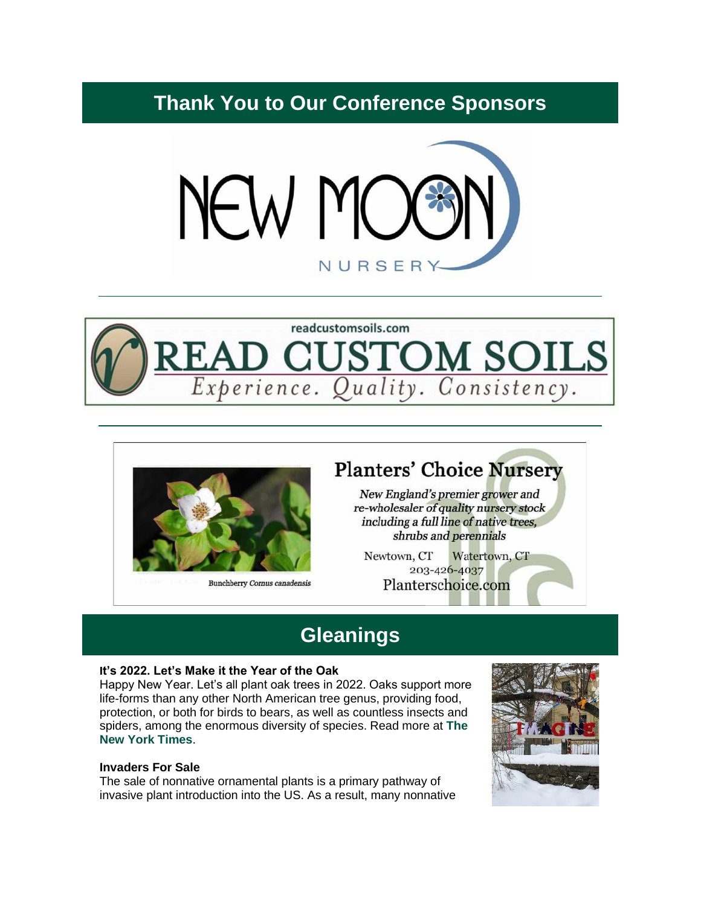# **Thank You to Our Conference Sponsors**







**Bunchberry Cornus canadensis** 

# **Planters' Choice Nursery**

New England's premier grower and re-wholesaler of quality nursery stock including a full line of native trees, shrubs and perennials

Newtown, CT Watertown, CT 203-426-4037 Planterschoice.com

## **Gleanings**

#### **It's 2022. Let's Make it the Year of the Oak**

Happy New Year. Let's all plant oak trees in 2022. Oaks support more life-forms than any other North American tree genus, providing food, protection, or both for birds to bears, as well as countless insects and spiders, among the enormous diversity of species. Read more at **[The](https://r20.rs6.net/tn.jsp?f=001vWgQe0DXWKdwwzEaGI7jLPKSDrVV0Yewh7b1BtEW0KM0RgX5Qn7CGUehUMK_JJZ9LsnSLpPyas3KDabhePGVJB1CmZx6C0HI_xe0d-iqZKr_VI29xCK5AD5JqKF4hb8J0G-q9Ib6dPBGLHBzBfOzoMq4q2w19cf5Lb80as6_NTurOuGXuNJer_WCAMZaVufAbclGJNSrVln0zu9sxXa8aWpn66hQl81Ra74JiLx12Q8=&c=76Jm-J8IhPrvXQu9GUt44I9L74L0mO6nnn77TSSLOv2UcXrLtPtN7w==&ch=gJJzEfe6o2i3_bNGDvTuSEkQck2CGvKxchOVImpbuJKAByRJ34DBgw==)  [New York Times](https://r20.rs6.net/tn.jsp?f=001vWgQe0DXWKdwwzEaGI7jLPKSDrVV0Yewh7b1BtEW0KM0RgX5Qn7CGUehUMK_JJZ9LsnSLpPyas3KDabhePGVJB1CmZx6C0HI_xe0d-iqZKr_VI29xCK5AD5JqKF4hb8J0G-q9Ib6dPBGLHBzBfOzoMq4q2w19cf5Lb80as6_NTurOuGXuNJer_WCAMZaVufAbclGJNSrVln0zu9sxXa8aWpn66hQl81Ra74JiLx12Q8=&c=76Jm-J8IhPrvXQu9GUt44I9L74L0mO6nnn77TSSLOv2UcXrLtPtN7w==&ch=gJJzEfe6o2i3_bNGDvTuSEkQck2CGvKxchOVImpbuJKAByRJ34DBgw==)**.

#### **Invaders For Sale**

The sale of nonnative ornamental plants is a primary pathway of invasive plant introduction into the US. As a result, many nonnative

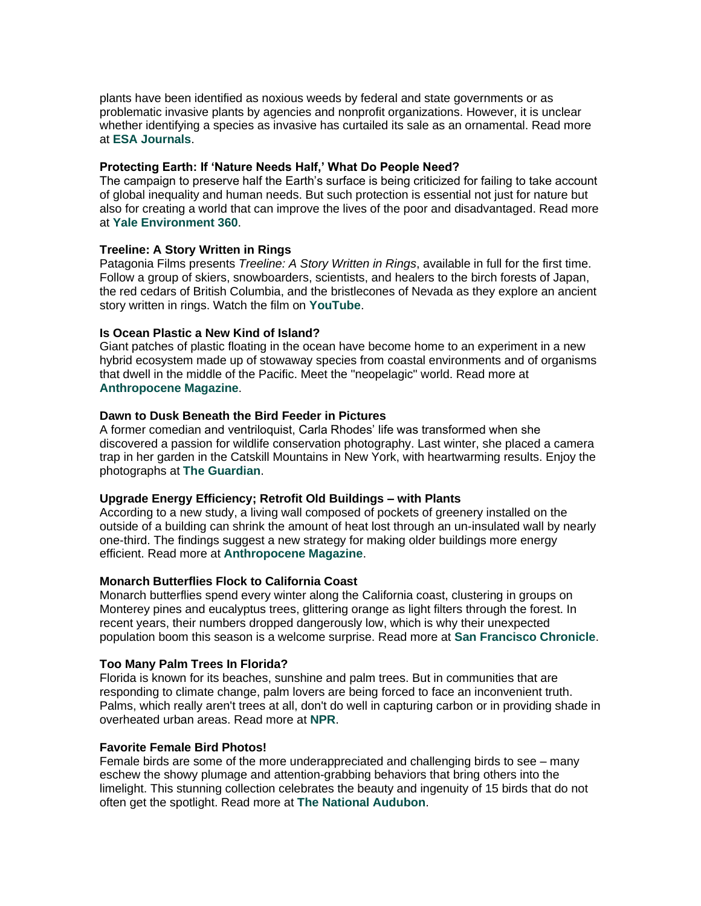plants have been identified as noxious weeds by federal and state governments or as problematic invasive plants by agencies and nonprofit organizations. However, it is unclear whether identifying a species as invasive has curtailed its sale as an ornamental. Read more at **[ESA Journals](https://r20.rs6.net/tn.jsp?f=001vWgQe0DXWKdwwzEaGI7jLPKSDrVV0Yewh7b1BtEW0KM0RgX5Qn7CGUehUMK_JJZ9S_mjgwq6Zp-ZAujLGEixdW9HjR06qYu6keKCTXtNqoX1V2FFSyypMQ2h_Pjlqe1u4yAEWOkwyFpKaj3FT08cbfStPvdDpmcw7Ou6df_TttLm01j1GLR4FRbnPRgR6EZh1E-PHtj5fhw=&c=76Jm-J8IhPrvXQu9GUt44I9L74L0mO6nnn77TSSLOv2UcXrLtPtN7w==&ch=gJJzEfe6o2i3_bNGDvTuSEkQck2CGvKxchOVImpbuJKAByRJ34DBgw==)**.

#### **Protecting Earth: If 'Nature Needs Half,' What Do People Need?**

The campaign to preserve half the Earth's surface is being criticized for failing to take account of global inequality and human needs. But such protection is essential not just for nature but also for creating a world that can improve the lives of the poor and disadvantaged. Read more at **[Yale Environment 360](https://r20.rs6.net/tn.jsp?f=001vWgQe0DXWKdwwzEaGI7jLPKSDrVV0Yewh7b1BtEW0KM0RgX5Qn7CGUehUMK_JJZ9hWt9SCEvNVwLrNAvq3jjqUbN21fy08aPM3im_JQ6xL0MphKI8x8jvQV4q6Z4v473xuBdmFM59IxQN2bZanCLYauGcvJ5uTvrcKgXEOUqxfeAkNREvHRb89JdeDg7ODL2PubGOsk_ULTudH_3d1W1pJBkdTsclE7Nwxf0utiUKis=&c=76Jm-J8IhPrvXQu9GUt44I9L74L0mO6nnn77TSSLOv2UcXrLtPtN7w==&ch=gJJzEfe6o2i3_bNGDvTuSEkQck2CGvKxchOVImpbuJKAByRJ34DBgw==)**.

#### **Treeline: A Story Written in Rings**

Patagonia Films presents *Treeline: A Story Written in Rings*, available in full for the first time. Follow a group of skiers, snowboarders, scientists, and healers to the birch forests of Japan, the red cedars of British Columbia, and the bristlecones of Nevada as they explore an ancient story written in rings. Watch the film on **[YouTube](https://r20.rs6.net/tn.jsp?f=001vWgQe0DXWKdwwzEaGI7jLPKSDrVV0Yewh7b1BtEW0KM0RgX5Qn7CGUehUMK_JJZ9pcwxlZOSar3muAOXflG-VFi4Vyka5C1jSN4pxXkUlUjx88gIwEa2H-8HQkm7RmuhyjGT9kiEdLHH_F8rR5Ug48hWjwZBYi0o3E7xdQ57EJFtN7MP2Pnn_g==&c=76Jm-J8IhPrvXQu9GUt44I9L74L0mO6nnn77TSSLOv2UcXrLtPtN7w==&ch=gJJzEfe6o2i3_bNGDvTuSEkQck2CGvKxchOVImpbuJKAByRJ34DBgw==)**.

#### **Is Ocean Plastic a New Kind of Island?**

Giant patches of plastic floating in the ocean have become home to an experiment in a new hybrid ecosystem made up of stowaway species from coastal environments and of organisms that dwell in the middle of the Pacific. Meet the "neopelagic" world. Read more at **[Anthropocene Magazine](https://r20.rs6.net/tn.jsp?f=001vWgQe0DXWKdwwzEaGI7jLPKSDrVV0Yewh7b1BtEW0KM0RgX5Qn7CGUehUMK_JJZ90mn4FQ1sQsAIy-JVY2GD7m4dNyBRGJEtuIixyLAmzLL3pQHLVKml6q6ElxbbQoeM2DnGWTy5kfTa7ewusaan7dPUFhMjHiVWCvfsPaJZ0iO7fqRYef6qHn3VcYVKPtmh4X9eAyHmruKwdv3XhZ7NyXM_rU_O2-Rdpp1sALlbol26GWJVZnONizpgRRg3o-qgYpCeOqJZjogR0nJpsLxLU83uotzQL-GOdmF7buuTB6WtXbMznJ0yTj1s6cvrHtXLoBuVRixsGDSZGcs1SnUsiMa5M0L7mcV-L9cN3ZRs9qE__xFpv8DFDIChRKB1FjqJuGO-MmbijgJanrgwaJ01eCQyqfwR2zO1UMWStndUcmJa-Kc7yejrYMsoTNq3EWWfgwLGZROjAPC6ZFOK91CnFg==&c=76Jm-J8IhPrvXQu9GUt44I9L74L0mO6nnn77TSSLOv2UcXrLtPtN7w==&ch=gJJzEfe6o2i3_bNGDvTuSEkQck2CGvKxchOVImpbuJKAByRJ34DBgw==)**.

#### **Dawn to Dusk Beneath the Bird Feeder in Pictures**

A former comedian and ventriloquist, Carla Rhodes' life was transformed when she discovered a passion for wildlife conservation photography. Last winter, she placed a camera trap in her garden in the Catskill Mountains in New York, with heartwarming results. Enjoy the photographs at **[The Guardian](https://r20.rs6.net/tn.jsp?f=001vWgQe0DXWKdwwzEaGI7jLPKSDrVV0Yewh7b1BtEW0KM0RgX5Qn7CGUehUMK_JJZ95r9fTFwlti_deAWZiI9H59tVA00TH8kzfVD6DNKHmP6kqAC8C87q7aYFnMevTkW2JTMPswat8e0K5oVNSq2owpvbd1n88NCt6Yuu1JeobOzo5lnaBUJ3Z392ptt45lYuUbxi6datEcIDFzFWBMnmzYMaQlg52BPZBMOg4vaspZKojphPSLHa44_UvfBjoR3mXWe8--LFdv6OHWC3FzoyYwG5VX9YXouI9zCh7qHCZBN2UCsc0YOx9g==&c=76Jm-J8IhPrvXQu9GUt44I9L74L0mO6nnn77TSSLOv2UcXrLtPtN7w==&ch=gJJzEfe6o2i3_bNGDvTuSEkQck2CGvKxchOVImpbuJKAByRJ34DBgw==)**.

#### **Upgrade Energy Efficiency; Retrofit Old Buildings – with Plants**

According to a new study, a living wall composed of pockets of greenery installed on the outside of a building can shrink the amount of heat lost through an un-insulated wall by nearly one-third. The findings suggest a new strategy for making older buildings more energy efficient. Read more at **[Anthropocene Magazine](https://r20.rs6.net/tn.jsp?f=001vWgQe0DXWKdwwzEaGI7jLPKSDrVV0Yewh7b1BtEW0KM0RgX5Qn7CGUehUMK_JJZ9IbLwxkLxjG65xnDN7dvovRnJkSYpi9nqevifrRkNHj1FmqDk8f7FQadvWbzP0ZmIpMKbdMeP8axeuLET5a2XDPwC136ExnjcWPk_NMX0ia2ca69r9RaK6HqJy2vANRo1Ti76ShLUgAjqwZNDn5P_aI8UrIMCCQzwFFRb8WqTy15Bmfg7514zKJQm1cFwybRD5TTd_mTlBqQ=&c=76Jm-J8IhPrvXQu9GUt44I9L74L0mO6nnn77TSSLOv2UcXrLtPtN7w==&ch=gJJzEfe6o2i3_bNGDvTuSEkQck2CGvKxchOVImpbuJKAByRJ34DBgw==)**.

#### **Monarch Butterflies Flock to California Coast**

Monarch butterflies spend every winter along the California coast, clustering in groups on Monterey pines and eucalyptus trees, glittering orange as light filters through the forest. In recent years, their numbers dropped dangerously low, which is why their unexpected population boom this season is a welcome surprise. Read more at **[San Francisco Chronicle](https://r20.rs6.net/tn.jsp?f=001vWgQe0DXWKdwwzEaGI7jLPKSDrVV0Yewh7b1BtEW0KM0RgX5Qn7CGUehUMK_JJZ9iwK6kEDYPVtnp_AZeBbr40V8yDGvAnsm8LTQNqRDRsywNRANr7dKgLky8EdeqLMvUWRM9y_welCuBaOMF7YKX6Atn03vRuWhg3iCNe8Yz-Zn4KWMIeawyDtpf3JUiOXMPuy6qDdM0OQdUv0EFH76bvzkX4h2BggC1koHeBU0IpPz35I4y8L7GsM--44nkt-Z&c=76Jm-J8IhPrvXQu9GUt44I9L74L0mO6nnn77TSSLOv2UcXrLtPtN7w==&ch=gJJzEfe6o2i3_bNGDvTuSEkQck2CGvKxchOVImpbuJKAByRJ34DBgw==)**.

#### **Too Many Palm Trees In Florida?**

Florida is known for its beaches, sunshine and palm trees. But in communities that are responding to climate change, palm lovers are being forced to face an inconvenient truth. Palms, which really aren't trees at all, don't do well in capturing carbon or in providing shade in overheated urban areas. Read more at **[NPR](https://r20.rs6.net/tn.jsp?f=001vWgQe0DXWKdwwzEaGI7jLPKSDrVV0Yewh7b1BtEW0KM0RgX5Qn7CGUehUMK_JJZ9glbIoSCMI9swlXAoKCv7DS7wPln-kTSj55aD8vwEvcaXagkH8b43shr06VFrMEFGikQR3mSD9_uC9nAP9Bc1dg8KMGX8Z3BGEtTikluj16R5mxtOtBD6Nfh2-Eoz7iC5ViggcFBbpctBdYgqbLigJqoX6_QjFwju3jQ-k8TIzvo=&c=76Jm-J8IhPrvXQu9GUt44I9L74L0mO6nnn77TSSLOv2UcXrLtPtN7w==&ch=gJJzEfe6o2i3_bNGDvTuSEkQck2CGvKxchOVImpbuJKAByRJ34DBgw==)**.

#### **Favorite Female Bird Photos!**

Female birds are some of the more underappreciated and challenging birds to see – many eschew the showy plumage and attention-grabbing behaviors that bring others into the limelight. This stunning collection celebrates the beauty and ingenuity of 15 birds that do not often get the spotlight. Read more at **[The National Audubon](https://r20.rs6.net/tn.jsp?f=001vWgQe0DXWKdwwzEaGI7jLPKSDrVV0Yewh7b1BtEW0KM0RgX5Qn7CGUehUMK_JJZ9bQaz4Gnz1knHfnDUkQFph1difCnQwpPEEQ4YCRIvd0jrIw0XFIlr-258fYE_qa96cvx-l8g80SJCm8YE-Pk5SYzTEm_UtY-X2xuxtmmADxYkYAEiVcuvYzDHpJgbQiN0qDPpeDM1OgZucHSAqrQItkwGL71e-mBIG6zNq5o5u_8=&c=76Jm-J8IhPrvXQu9GUt44I9L74L0mO6nnn77TSSLOv2UcXrLtPtN7w==&ch=gJJzEfe6o2i3_bNGDvTuSEkQck2CGvKxchOVImpbuJKAByRJ34DBgw==)**.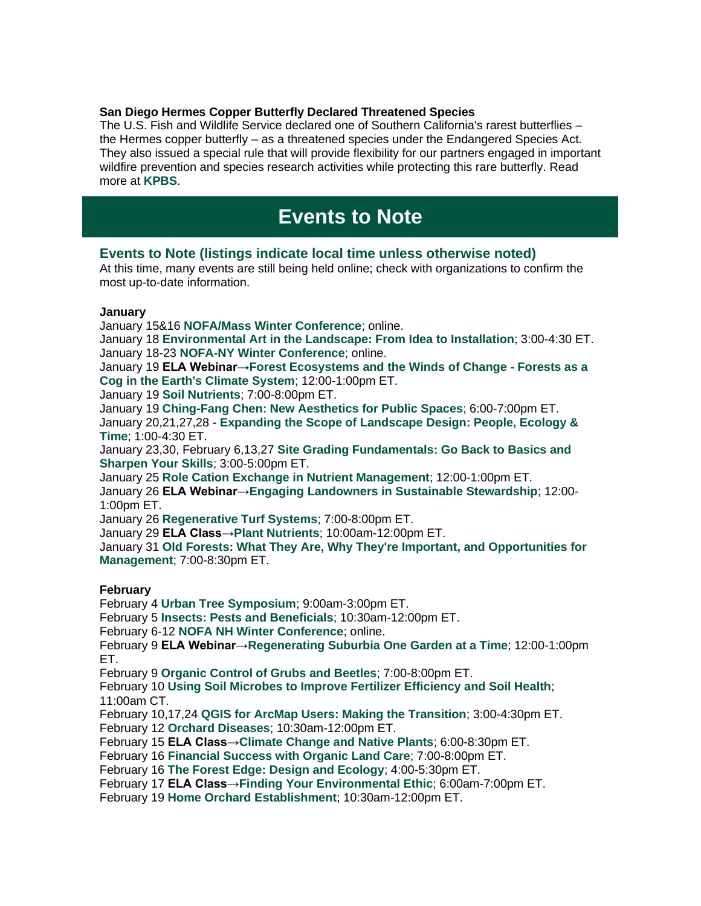#### **San Diego Hermes Copper Butterfly Declared Threatened Species**

The U.S. Fish and Wildlife Service declared one of Southern California's rarest butterflies – the Hermes copper butterfly – as a threatened species under the Endangered Species Act. They also issued a special rule that will provide flexibility for our partners engaged in important wildfire prevention and species research activities while protecting this rare butterfly. Read more at **[KPBS](https://r20.rs6.net/tn.jsp?f=001vWgQe0DXWKdwwzEaGI7jLPKSDrVV0Yewh7b1BtEW0KM0RgX5Qn7CGUehUMK_JJZ9Rvk7vP1zQyF1nJUKALkYnDmeN6Km28t-ast2EA5pbJX3ADxVUy4l0Z84Q7Kb5RcYqOPOERkoGCPdtIbFnawDEgr1kiDyPRpYaRpq4jsghyhbZbL0K2oL_TsKmvkjBuYjC8GGa8E7WQERXioe-djjfeSVkvP3S8GS_OhGb4DxRPzrO_bPYEMHcSXF9H8ymmitJSbNOFhaWBBHOiI4SDCsB1Z4kUTE1pry0sTrEy_qUno=&c=76Jm-J8IhPrvXQu9GUt44I9L74L0mO6nnn77TSSLOv2UcXrLtPtN7w==&ch=gJJzEfe6o2i3_bNGDvTuSEkQck2CGvKxchOVImpbuJKAByRJ34DBgw==)**.

## **Events to Note**

#### **Events to Note (listings indicate local time unless otherwise noted)**

At this time, many events are still being held online; check with organizations to confirm the most up-to-date information.

#### **January**

January 15&16 **[NOFA/Mass Winter Conference](https://r20.rs6.net/tn.jsp?f=001vWgQe0DXWKdwwzEaGI7jLPKSDrVV0Yewh7b1BtEW0KM0RgX5Qn7CGbWO2J2gCV0pBhUuOYiSDU0mItNovxd1Af4Sitwt9t0aReTuDqRleaLUoH1kkb96XW4sNzSWPsfplXRCa-q_kGmC-rTkAMum18qgwqMHlRx8XP1HP5DBK9W37YGGsU8lMpHMKxINeWtF&c=76Jm-J8IhPrvXQu9GUt44I9L74L0mO6nnn77TSSLOv2UcXrLtPtN7w==&ch=gJJzEfe6o2i3_bNGDvTuSEkQck2CGvKxchOVImpbuJKAByRJ34DBgw==)**; online.

January 18 **[Environmental Art in the Landscape: From Idea to Installation](https://r20.rs6.net/tn.jsp?f=001vWgQe0DXWKdwwzEaGI7jLPKSDrVV0Yewh7b1BtEW0KM0RgX5Qn7CGUehUMK_JJZ9aQA0MT5i4bYl9kZYTzdQH_CTUk7-5rcORh8pAOk_eQ0DBqPvbluEGcpIc6ZQwG5pJ_pMj3tRHfNYzm76t6QIlg==&c=76Jm-J8IhPrvXQu9GUt44I9L74L0mO6nnn77TSSLOv2UcXrLtPtN7w==&ch=gJJzEfe6o2i3_bNGDvTuSEkQck2CGvKxchOVImpbuJKAByRJ34DBgw==)**; 3:00-4:30 ET. January 18-23 **[NOFA-NY Winter Conference](https://r20.rs6.net/tn.jsp?f=001vWgQe0DXWKdwwzEaGI7jLPKSDrVV0Yewh7b1BtEW0KM0RgX5Qn7CGUehUMK_JJZ90oT5K07e7MKkuEXb4fTaqyeLycCZe7epP2H5Bf-xnfGWT81dEMlmtdx22F7JI_lJVb3fsuy7Xq4H7AR1z09ZanQku0oYDbPx&c=76Jm-J8IhPrvXQu9GUt44I9L74L0mO6nnn77TSSLOv2UcXrLtPtN7w==&ch=gJJzEfe6o2i3_bNGDvTuSEkQck2CGvKxchOVImpbuJKAByRJ34DBgw==)**; online.

January 19 **ELA Webinar[→Forest Ecosystems and the Winds of Change -](https://r20.rs6.net/tn.jsp?f=001vWgQe0DXWKdwwzEaGI7jLPKSDrVV0Yewh7b1BtEW0KM0RgX5Qn7CGbWO2J2gCV0p8McHKyTEkdgZOKFFNFEXOfAk2s8fIqH_Ru3K6scAuPFt3NwClHzYNOfl_k6mzplWvlVqsjd4SVSoOL8ReUTvlyXsmnwkRfzMSCjdl-VlY07nxN3HIteT-LQjVQFSvk2wQGEEbk-YtAFq7A9W9v4hlWXzk67kOen2uGTgvIl2iR8CtZfCfFIr0v9vD3H4rVShsL8Vc_SS1_MO6HVUqvJB7GSpX3olL-edengPkWirG_E=&c=76Jm-J8IhPrvXQu9GUt44I9L74L0mO6nnn77TSSLOv2UcXrLtPtN7w==&ch=gJJzEfe6o2i3_bNGDvTuSEkQck2CGvKxchOVImpbuJKAByRJ34DBgw==) Forests as a [Cog in the Earth's Climate System](https://r20.rs6.net/tn.jsp?f=001vWgQe0DXWKdwwzEaGI7jLPKSDrVV0Yewh7b1BtEW0KM0RgX5Qn7CGbWO2J2gCV0p8McHKyTEkdgZOKFFNFEXOfAk2s8fIqH_Ru3K6scAuPFt3NwClHzYNOfl_k6mzplWvlVqsjd4SVSoOL8ReUTvlyXsmnwkRfzMSCjdl-VlY07nxN3HIteT-LQjVQFSvk2wQGEEbk-YtAFq7A9W9v4hlWXzk67kOen2uGTgvIl2iR8CtZfCfFIr0v9vD3H4rVShsL8Vc_SS1_MO6HVUqvJB7GSpX3olL-edengPkWirG_E=&c=76Jm-J8IhPrvXQu9GUt44I9L74L0mO6nnn77TSSLOv2UcXrLtPtN7w==&ch=gJJzEfe6o2i3_bNGDvTuSEkQck2CGvKxchOVImpbuJKAByRJ34DBgw==)**; 12:00-1:00pm ET.

January 19 **[Soil Nutrients](https://r20.rs6.net/tn.jsp?f=001vWgQe0DXWKdwwzEaGI7jLPKSDrVV0Yewh7b1BtEW0KM0RgX5Qn7CGUehUMK_JJZ9qR80N9hzOlz341rlKZYzG3pZA71rqZhYzbPwv3GGJ-yHHg8eoAV2wcaCQRBVf7pcne9YLMjDY8A6_55LQmYykV2WLXE2QQIywVgK8UszznPMgScCk4pD_Y3l_OilAtUH9QgwCjptzNo=&c=76Jm-J8IhPrvXQu9GUt44I9L74L0mO6nnn77TSSLOv2UcXrLtPtN7w==&ch=gJJzEfe6o2i3_bNGDvTuSEkQck2CGvKxchOVImpbuJKAByRJ34DBgw==)**; 7:00-8:00pm ET.

January 19 **Ching-Fang Chen: [New Aesthetics for Public Spaces](https://r20.rs6.net/tn.jsp?f=001vWgQe0DXWKdwwzEaGI7jLPKSDrVV0Yewh7b1BtEW0KM0RgX5Qn7CGUehUMK_JJZ9P1B__4yZ_p5yEtLkG2pwCzhFOVNbsH5ZgFXrtK7iXakFagEJd71XKZAySPz8UfWIP39eyZ7gB_t54r8Ox4RszDqlHVlCg468NlrVF_RFd1WlbDGdD_YP-2EgkQHndxej5gu7Dv3cgrAd3z46FWq6yi0K8I_oACpLpsR07jdlbwYvjNNczuCT3s6XIJEQcOme&c=76Jm-J8IhPrvXQu9GUt44I9L74L0mO6nnn77TSSLOv2UcXrLtPtN7w==&ch=gJJzEfe6o2i3_bNGDvTuSEkQck2CGvKxchOVImpbuJKAByRJ34DBgw==)**; 6:00-7:00pm ET. January 20,21,27,28 **- [Expanding the Scope of Landscape Design: People, Ecology &](https://r20.rs6.net/tn.jsp?f=001vWgQe0DXWKdwwzEaGI7jLPKSDrVV0Yewh7b1BtEW0KM0RgX5Qn7CGeeaQBsNAzrbF8dz0qK5zC1MuZt9zCzKP4bx4oAQpIMUjwCrsi-K-NzDPFMVaHhlzwII8kaJQiXlycIwGyaWNJrjKddgYMdY_mRbu3qezA3J0UW7jxElso5Drgj7fsN3pJSABStgLI5FdMJRiT1OTZRxsFzfC6I8KA4cHaEHVZSs&c=76Jm-J8IhPrvXQu9GUt44I9L74L0mO6nnn77TSSLOv2UcXrLtPtN7w==&ch=gJJzEfe6o2i3_bNGDvTuSEkQck2CGvKxchOVImpbuJKAByRJ34DBgw==)  [Time](https://r20.rs6.net/tn.jsp?f=001vWgQe0DXWKdwwzEaGI7jLPKSDrVV0Yewh7b1BtEW0KM0RgX5Qn7CGeeaQBsNAzrbF8dz0qK5zC1MuZt9zCzKP4bx4oAQpIMUjwCrsi-K-NzDPFMVaHhlzwII8kaJQiXlycIwGyaWNJrjKddgYMdY_mRbu3qezA3J0UW7jxElso5Drgj7fsN3pJSABStgLI5FdMJRiT1OTZRxsFzfC6I8KA4cHaEHVZSs&c=76Jm-J8IhPrvXQu9GUt44I9L74L0mO6nnn77TSSLOv2UcXrLtPtN7w==&ch=gJJzEfe6o2i3_bNGDvTuSEkQck2CGvKxchOVImpbuJKAByRJ34DBgw==)**; 1:00-4:30 ET.

January 23,30, February 6,13,27 **[Site Grading Fundamentals: Go Back to Basics and](https://r20.rs6.net/tn.jsp?f=001vWgQe0DXWKdwwzEaGI7jLPKSDrVV0Yewh7b1BtEW0KM0RgX5Qn7CGUehUMK_JJZ9HFZPfWSCeig7deCC8S4NWIXf9mqTNwjg2TmWA99UyC_0u-EfPJqv84qLso0mvWbVDRMTImEqswouOZvS5FuCxiP9RAYjP1cxlGmGUH6KzDg2fCJ-sw9xci0I9nfv_iEV&c=76Jm-J8IhPrvXQu9GUt44I9L74L0mO6nnn77TSSLOv2UcXrLtPtN7w==&ch=gJJzEfe6o2i3_bNGDvTuSEkQck2CGvKxchOVImpbuJKAByRJ34DBgw==)  [Sharpen Your Skills](https://r20.rs6.net/tn.jsp?f=001vWgQe0DXWKdwwzEaGI7jLPKSDrVV0Yewh7b1BtEW0KM0RgX5Qn7CGUehUMK_JJZ9HFZPfWSCeig7deCC8S4NWIXf9mqTNwjg2TmWA99UyC_0u-EfPJqv84qLso0mvWbVDRMTImEqswouOZvS5FuCxiP9RAYjP1cxlGmGUH6KzDg2fCJ-sw9xci0I9nfv_iEV&c=76Jm-J8IhPrvXQu9GUt44I9L74L0mO6nnn77TSSLOv2UcXrLtPtN7w==&ch=gJJzEfe6o2i3_bNGDvTuSEkQck2CGvKxchOVImpbuJKAByRJ34DBgw==)**; 3:00-5:00pm ET.

January 25 **[Role Cation Exchange in Nutrient Management](https://r20.rs6.net/tn.jsp?f=001vWgQe0DXWKdwwzEaGI7jLPKSDrVV0Yewh7b1BtEW0KM0RgX5Qn7CGUehUMK_JJZ9ncoteKetQA3NA23B_EARaalfaX1-ZU6oaNCIRXvma-mYNjj0Pbgw6nIKHpJ-npGrFuuNwqF4jrg992qxl49L7ZHZsIxWwV4aXpQMg8-9cL3uTq5gLBFPxUREs6cjEUueYZNoQH3_aYZ7kLoNy2ePrR-5KsUEN2eJUdMJH4dO4PYI0XfDCW6pCwnH-FFbqfKvWdJFKXs7MQwxUQtSjESLuRXRqbmS5mEWahkzpwOd7cpPd7b52FCoSzvAxd55WY7c3zqnTaoBixYB4nRlpUySeVvz9p_K5W84UceCejkjVw-HW2WsGl0dzG4auKAVqIi2d2NY6UQz9Vdv32YYC8szXZfntDD76T_AukjtTuwx_-kzd37UVr5mP6E7fne4PGutYesZdiq1D-etPJXDGReqBlToyeD_O8Je9vB9H0t--tUQ6gee_YrlYJUzfI8ijW0Xa5_BgqL3MPObjMHUiRoJhJ3TjRSI8A_pEZKpqzAXMyoQeYbkpblgsWeN19waovTp&c=76Jm-J8IhPrvXQu9GUt44I9L74L0mO6nnn77TSSLOv2UcXrLtPtN7w==&ch=gJJzEfe6o2i3_bNGDvTuSEkQck2CGvKxchOVImpbuJKAByRJ34DBgw==)**; 12:00-1:00pm ET.

January 26 **ELA Webinar[→Engaging Landowners in Sustainable Stewardship](https://r20.rs6.net/tn.jsp?f=001vWgQe0DXWKdwwzEaGI7jLPKSDrVV0Yewh7b1BtEW0KM0RgX5Qn7CGbWO2J2gCV0pFa52UcM5OOSakH6lMZP1AgL_O54LZuxb-ggeMatMu_sp9jlyxnqpOJrFx0ZwOBN3Y6YVxsTcbLOZEbkjWQCizCyvSATeQIXb4jcJZP-8w2dn9r55qReyktW6GQRh1p0XuBkzIJIcBftXnpjOkEAlx4hk8hj3AabkFheZmB5skIwSMibRQDp9PQ==&c=76Jm-J8IhPrvXQu9GUt44I9L74L0mO6nnn77TSSLOv2UcXrLtPtN7w==&ch=gJJzEfe6o2i3_bNGDvTuSEkQck2CGvKxchOVImpbuJKAByRJ34DBgw==)**; 12:00- 1:00pm ET.

January 26 **[Regenerative Turf Systems](https://r20.rs6.net/tn.jsp?f=001vWgQe0DXWKdwwzEaGI7jLPKSDrVV0Yewh7b1BtEW0KM0RgX5Qn7CGUehUMK_JJZ9qR80N9hzOlz341rlKZYzG3pZA71rqZhYzbPwv3GGJ-yHHg8eoAV2wcaCQRBVf7pcne9YLMjDY8A6_55LQmYykV2WLXE2QQIywVgK8UszznPMgScCk4pD_Y3l_OilAtUH9QgwCjptzNo=&c=76Jm-J8IhPrvXQu9GUt44I9L74L0mO6nnn77TSSLOv2UcXrLtPtN7w==&ch=gJJzEfe6o2i3_bNGDvTuSEkQck2CGvKxchOVImpbuJKAByRJ34DBgw==)**; 7:00-8:00pm ET.

January 29 **ELA Class[→Plant Nutrients](https://r20.rs6.net/tn.jsp?f=001vWgQe0DXWKdwwzEaGI7jLPKSDrVV0Yewh7b1BtEW0KM0RgX5Qn7CGbWO2J2gCV0pN6saL0Cwg3dprY10fDNmYZ8X2RTqq89PyRm4yXDo8qPDyMjdynhST41pLvdOUJuSfIsBTZah0Y06wHpV_tqQakE3ZKf3OdMjU35sYFjls3bawbI4huR1QUIlmhnOBCy0RQDPHNUqSzs=&c=76Jm-J8IhPrvXQu9GUt44I9L74L0mO6nnn77TSSLOv2UcXrLtPtN7w==&ch=gJJzEfe6o2i3_bNGDvTuSEkQck2CGvKxchOVImpbuJKAByRJ34DBgw==)**; 10:00am-12:00pm ET.

January 31 **[Old Forests: What They Are, Why They're Important, and Opportunities for](https://r20.rs6.net/tn.jsp?f=001vWgQe0DXWKdwwzEaGI7jLPKSDrVV0Yewh7b1BtEW0KM0RgX5Qn7CGUehUMK_JJZ9KzErSgMAZBAnX7ZLP57e47ko8gaqMhuN6020YyknVjPbS7cAgk7EKaci1dV42pPYZS33BvstNURv0J3_6d6mZFGNqYBzi6fedJA2yjdw9_TCM4UVq5Mpkg_pLXB2zi2XQTUnfXTTl10=&c=76Jm-J8IhPrvXQu9GUt44I9L74L0mO6nnn77TSSLOv2UcXrLtPtN7w==&ch=gJJzEfe6o2i3_bNGDvTuSEkQck2CGvKxchOVImpbuJKAByRJ34DBgw==)  [Management](https://r20.rs6.net/tn.jsp?f=001vWgQe0DXWKdwwzEaGI7jLPKSDrVV0Yewh7b1BtEW0KM0RgX5Qn7CGUehUMK_JJZ9KzErSgMAZBAnX7ZLP57e47ko8gaqMhuN6020YyknVjPbS7cAgk7EKaci1dV42pPYZS33BvstNURv0J3_6d6mZFGNqYBzi6fedJA2yjdw9_TCM4UVq5Mpkg_pLXB2zi2XQTUnfXTTl10=&c=76Jm-J8IhPrvXQu9GUt44I9L74L0mO6nnn77TSSLOv2UcXrLtPtN7w==&ch=gJJzEfe6o2i3_bNGDvTuSEkQck2CGvKxchOVImpbuJKAByRJ34DBgw==)**; 7:00-8:30pm ET.

#### **February**

February 4 **[Urban Tree Symposium](https://r20.rs6.net/tn.jsp?f=001vWgQe0DXWKdwwzEaGI7jLPKSDrVV0Yewh7b1BtEW0KM0RgX5Qn7CGUehUMK_JJZ9sRTAfytEo96UtOtLR6CRu71YOT8iqJD6x1_GB_kcC_xriiRWAa0LjmsgwxfkeVGasVsk8I80EKsM3VMLmArPpIxlxKUHNxNb9Vg-u-j3vygXazzsxyqhzg==&c=76Jm-J8IhPrvXQu9GUt44I9L74L0mO6nnn77TSSLOv2UcXrLtPtN7w==&ch=gJJzEfe6o2i3_bNGDvTuSEkQck2CGvKxchOVImpbuJKAByRJ34DBgw==)**; 9:00am-3:00pm ET.

February 5 **[Insects: Pests and Beneficials](https://r20.rs6.net/tn.jsp?f=001vWgQe0DXWKdwwzEaGI7jLPKSDrVV0Yewh7b1BtEW0KM0RgX5Qn7CGUehUMK_JJZ9C0Q_qAo683tCcH5QQi5jt6eZi5ASi0w6p195tmzqHUgK4VWSaRzjdsa5phRLqo1HpPVwalfwB_q7Zhk4A9iU5kDCL7MpAmKoVQeRoblAbGvKUh8eDl-QdK4Y0c97zYbzG8068k0-IsA=&c=76Jm-J8IhPrvXQu9GUt44I9L74L0mO6nnn77TSSLOv2UcXrLtPtN7w==&ch=gJJzEfe6o2i3_bNGDvTuSEkQck2CGvKxchOVImpbuJKAByRJ34DBgw==)**; 10:30am-12:00pm ET.

February 6-12 **[NOFA NH Winter Conference](https://r20.rs6.net/tn.jsp?f=001vWgQe0DXWKdwwzEaGI7jLPKSDrVV0Yewh7b1BtEW0KM0RgX5Qn7CGUehUMK_JJZ9VPLRouVrdMo4q-7Lt7N-Bv8Q2XQVK03Am554pWhR-iR00LEEaPq3B5qfQ7f6lmMwFF2lca_xSO33HW6bSo6wntNuhw4N6Rdk7yoJ6djXZJY=&c=76Jm-J8IhPrvXQu9GUt44I9L74L0mO6nnn77TSSLOv2UcXrLtPtN7w==&ch=gJJzEfe6o2i3_bNGDvTuSEkQck2CGvKxchOVImpbuJKAByRJ34DBgw==)**; online.

February 9 **ELA Webinar[→Regenerating Suburbia One Garden at a Time](https://r20.rs6.net/tn.jsp?f=001vWgQe0DXWKdwwzEaGI7jLPKSDrVV0Yewh7b1BtEW0KM0RgX5Qn7CGbWO2J2gCV0pAh2kbtM2m-q82xNbwoDhlGzVitIELz0G1Jh6vpJkGe7gJQedPnxg6pV5aCc5fbIpyjk6Ia95RleTE23BQdw6_f0pmKZwX3UU9Iei05KtJJqyciCKwsmXYVAb8qBKnNv3T62nOBDYQoI=&c=76Jm-J8IhPrvXQu9GUt44I9L74L0mO6nnn77TSSLOv2UcXrLtPtN7w==&ch=gJJzEfe6o2i3_bNGDvTuSEkQck2CGvKxchOVImpbuJKAByRJ34DBgw==)**; 12:00-1:00pm ET.

February 9 **[Organic Control of Grubs and Beetles](https://r20.rs6.net/tn.jsp?f=001vWgQe0DXWKdwwzEaGI7jLPKSDrVV0Yewh7b1BtEW0KM0RgX5Qn7CGUehUMK_JJZ9qR80N9hzOlz341rlKZYzG3pZA71rqZhYzbPwv3GGJ-yHHg8eoAV2wcaCQRBVf7pcne9YLMjDY8A6_55LQmYykV2WLXE2QQIywVgK8UszznPMgScCk4pD_Y3l_OilAtUH9QgwCjptzNo=&c=76Jm-J8IhPrvXQu9GUt44I9L74L0mO6nnn77TSSLOv2UcXrLtPtN7w==&ch=gJJzEfe6o2i3_bNGDvTuSEkQck2CGvKxchOVImpbuJKAByRJ34DBgw==)**; 7:00-8:00pm ET.

February 10 **[Using Soil Microbes to Improve Fertilizer Efficiency and Soil Health](https://r20.rs6.net/tn.jsp?f=001vWgQe0DXWKdwwzEaGI7jLPKSDrVV0Yewh7b1BtEW0KM0RgX5Qn7CGUehUMK_JJZ9EKcixTN9hrsZdn5VftUfJ7s-HoaaGRAPDKTrggmuAHnHX3LweV9qupXoljKPESoZ-87Pxx6oG5IAj4jPlignN3LU1oyOiN0ylOPkhnYkcvb10B3W0bYlZNr0faYcNyC6W1RvRmX4aSHpC6b6q1iS3b11JrTG_rHFuv47MhnNy2Loi9RcAk_E8lick6nkeG7P8RUw3pfZ4ldxxwFuLoE35H4AGbdwi5QHsX5FgMVS33ENQToShi5VB97EFHawMvxE12Vc59z63qcWZ4b2f5X-UO_1TtSfOFZBXRoib_cxX1b-4FXJZXn31m842zkrCpJi2qfPCaN0V3JRO1mJVULWEgkVwWHdqj-Jx0QHMlzAlg4ggNFSWhUIK6Y7xKiuVWxRclJz7_LShDQEdwz1YP21OxvADwq32_FnA0A8HvkKwleGQWUJEfbugDgUH37ElWpK-_hzbdYWMKRf8JsWNifjZLftwzHaWHpcaGHcBbPS_PzNiYquEegdOi1PFonzzPT8sbbr7wh0gc7Ylm6vlW_YD7Bb1BJbuOLcvo9hMpgdyTNCkMVWOpIZ-GQzHmqYSFOwc5Zosl4M5my5DaC-SHRfevhocUlzuNNHjHLpHxO98pUKT56WgHKqQ4vSzv2fLjWHfeUwz9uo0u-hD96cRm7ZconthFbSPjHkqWs9Kf20Nx_735CixLi8zk4JV5zQgD_2xHsVomW9pNDyoo0QJZIpnyzqwC92TUSxJn0r_8p4k7oYAVJ8ACajKm_pU4zh7JAjix3dhJLFZ-dtF7ZeLOBhZUE0evGjUu4WFyfY_Yx7nvDgClULsCb4tIxnClqSxwAQ68ZeLA5h89Q3gz4FP3ORF5KuOsFvHZ73QAxToTFahtp69kZdVbsh6IETtw5YjmoiWSBVRwA_e_p01ORPe5RXefM1p74c1LOOi5hRrMseW3n6yEpUAj5xa6aCkvNoieiG3ftK3fyPQpVXsndb0xanzACg-0L-RJmuNfADtfy_giKAh-jqjUYRccSI0TEZuK-6LcVQU0HoDxlGmkkos-d-CXF3r_LLlb7l4Up3rPDqEuSpDtQguY5G9f1ON_zo9_A4&c=76Jm-J8IhPrvXQu9GUt44I9L74L0mO6nnn77TSSLOv2UcXrLtPtN7w==&ch=gJJzEfe6o2i3_bNGDvTuSEkQck2CGvKxchOVImpbuJKAByRJ34DBgw==)**; 11:00am CT.

February 10,17,24 **[QGIS for ArcMap Users: Making the Transition](https://r20.rs6.net/tn.jsp?f=001vWgQe0DXWKdwwzEaGI7jLPKSDrVV0Yewh7b1BtEW0KM0RgX5Qn7CGUehUMK_JJZ9aQA0MT5i4bYl9kZYTzdQH_CTUk7-5rcORh8pAOk_eQ0DBqPvbluEGcpIc6ZQwG5pJ_pMj3tRHfNYzm76t6QIlg==&c=76Jm-J8IhPrvXQu9GUt44I9L74L0mO6nnn77TSSLOv2UcXrLtPtN7w==&ch=gJJzEfe6o2i3_bNGDvTuSEkQck2CGvKxchOVImpbuJKAByRJ34DBgw==)**; 3:00-4:30pm ET.

February 12 **[Orchard Diseases](https://r20.rs6.net/tn.jsp?f=001vWgQe0DXWKdwwzEaGI7jLPKSDrVV0Yewh7b1BtEW0KM0RgX5Qn7CGUehUMK_JJZ9C0Q_qAo683tCcH5QQi5jt6eZi5ASi0w6p195tmzqHUgK4VWSaRzjdsa5phRLqo1HpPVwalfwB_q7Zhk4A9iU5kDCL7MpAmKoVQeRoblAbGvKUh8eDl-QdK4Y0c97zYbzG8068k0-IsA=&c=76Jm-J8IhPrvXQu9GUt44I9L74L0mO6nnn77TSSLOv2UcXrLtPtN7w==&ch=gJJzEfe6o2i3_bNGDvTuSEkQck2CGvKxchOVImpbuJKAByRJ34DBgw==)**; 10:30am-12:00pm ET.

February 15 **ELA Class[→Climate Change and Native Plants](https://r20.rs6.net/tn.jsp?f=001vWgQe0DXWKdwwzEaGI7jLPKSDrVV0Yewh7b1BtEW0KM0RgX5Qn7CGbWO2J2gCV0pVmODBkaxEDxyZob7dTs5Ep6fBKvHCrddrwZxcC7BNWovOFEukvEBCSHndAMYx3RwBfEqu1th_aF-PHb5wOlVGgRJRgwtYyhrqbp8GJgQeTotNUvk08TkpG1NcS5fkktc1ujdB-TAlN5K5FIsvYsGVGNTD5slz0HK&c=76Jm-J8IhPrvXQu9GUt44I9L74L0mO6nnn77TSSLOv2UcXrLtPtN7w==&ch=gJJzEfe6o2i3_bNGDvTuSEkQck2CGvKxchOVImpbuJKAByRJ34DBgw==)**; 6:00-8:30pm ET.

February 16 **[Financial Success with Organic Land Care](https://r20.rs6.net/tn.jsp?f=001vWgQe0DXWKdwwzEaGI7jLPKSDrVV0Yewh7b1BtEW0KM0RgX5Qn7CGUehUMK_JJZ9qR80N9hzOlz341rlKZYzG3pZA71rqZhYzbPwv3GGJ-yHHg8eoAV2wcaCQRBVf7pcne9YLMjDY8A6_55LQmYykV2WLXE2QQIywVgK8UszznPMgScCk4pD_Y3l_OilAtUH9QgwCjptzNo=&c=76Jm-J8IhPrvXQu9GUt44I9L74L0mO6nnn77TSSLOv2UcXrLtPtN7w==&ch=gJJzEfe6o2i3_bNGDvTuSEkQck2CGvKxchOVImpbuJKAByRJ34DBgw==)**; 7:00-8:00pm ET.

February 16 **[The Forest Edge: Design and Ecology](https://r20.rs6.net/tn.jsp?f=001vWgQe0DXWKdwwzEaGI7jLPKSDrVV0Yewh7b1BtEW0KM0RgX5Qn7CGUehUMK_JJZ9S6mXyEJBMX8uUQAheQtLLy9q4lpQY9rwj6JFAqTYbEpFtS5mCNLKy2KmW3f-Wgz7J1HxIdvZ26OW5lqXOcKUK-NygaM28FBSXnFwQfUt3QHKR1lP_8OYXiiuQ9nNbHuVgLk9kiYgaPfySB6Y26oYkvv_0tEpN0GczvX5YuC3iFwUaWLhOix625VACzo0t7kcTR_APmUHVIDrcp_Vx9dOrW3eOENHwAmsBupdoquxGebBwQFz01_K_KVt3HC-eRhHo0ZjsHf7u2_Y6B69EHLnYpPXjjmjdhZWBsFnj7Z2HK1FVL4I63yNaq3O7ovY-M7ZNJuQPGUMv0ACONdPIFAC2F6_JtgW8IN4&c=76Jm-J8IhPrvXQu9GUt44I9L74L0mO6nnn77TSSLOv2UcXrLtPtN7w==&ch=gJJzEfe6o2i3_bNGDvTuSEkQck2CGvKxchOVImpbuJKAByRJ34DBgw==)**; 4:00-5:30pm ET.

February 17 **ELA Class[→Finding Your Environmental Ethic](https://r20.rs6.net/tn.jsp?f=001vWgQe0DXWKdwwzEaGI7jLPKSDrVV0Yewh7b1BtEW0KM0RgX5Qn7CGbWO2J2gCV0pti3knsR6QtElxkq4Mt3Q62e738ZO_2Smjsp07JR3NnItrkaV-p33ksv0d_UNcZQizzZBnojOi7o9Spj8b3XU9-hgxvCDeg7v0svhJnryj_bW7ngiVW1MeJgfPvILqpKrqY11y5SQZkJishLIbK0yo7EocaDymNAS&c=76Jm-J8IhPrvXQu9GUt44I9L74L0mO6nnn77TSSLOv2UcXrLtPtN7w==&ch=gJJzEfe6o2i3_bNGDvTuSEkQck2CGvKxchOVImpbuJKAByRJ34DBgw==)**; 6:00am-7:00pm ET.

February 19 **[Home Orchard Establishment](https://r20.rs6.net/tn.jsp?f=001vWgQe0DXWKdwwzEaGI7jLPKSDrVV0Yewh7b1BtEW0KM0RgX5Qn7CGUehUMK_JJZ9C0Q_qAo683tCcH5QQi5jt6eZi5ASi0w6p195tmzqHUgK4VWSaRzjdsa5phRLqo1HpPVwalfwB_q7Zhk4A9iU5kDCL7MpAmKoVQeRoblAbGvKUh8eDl-QdK4Y0c97zYbzG8068k0-IsA=&c=76Jm-J8IhPrvXQu9GUt44I9L74L0mO6nnn77TSSLOv2UcXrLtPtN7w==&ch=gJJzEfe6o2i3_bNGDvTuSEkQck2CGvKxchOVImpbuJKAByRJ34DBgw==)**; 10:30am-12:00pm ET.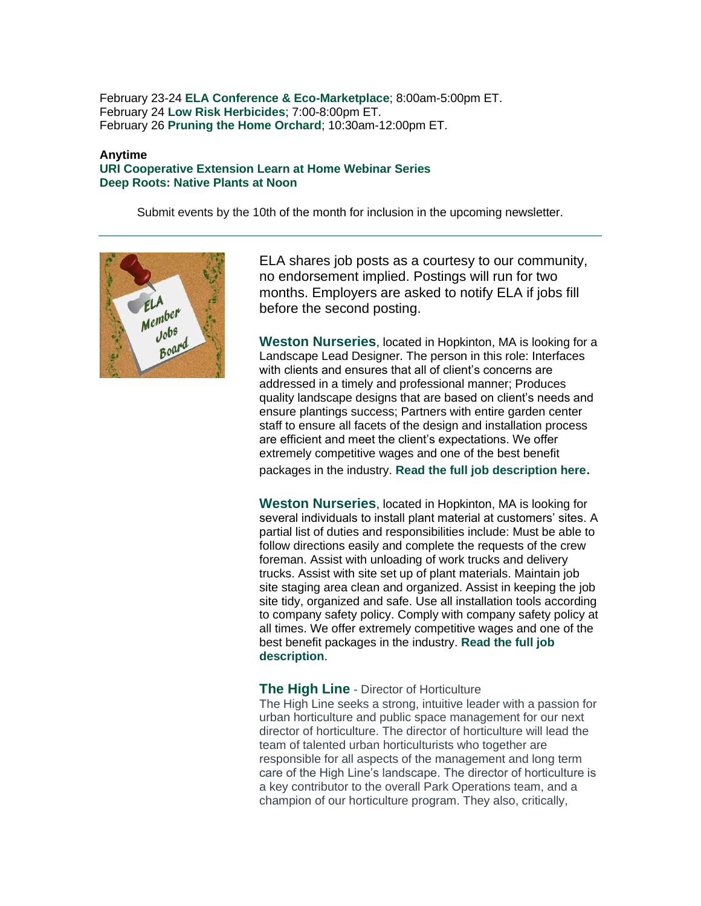February 23-24 **[ELA Conference & Eco-Marketplace](https://r20.rs6.net/tn.jsp?f=001vWgQe0DXWKdwwzEaGI7jLPKSDrVV0Yewh7b1BtEW0KM0RgX5Qn7CGbWO2J2gCV0pQPpVMCJRRZ4__dgWKHeHWj_eHyloaJcjo5ws4ddImeTyd3TuJobZMsr_NTB8WxQmERB9ULiF5GwiKpwfC_Zna2B8PFtfCCWw_gNg_864dK7RcwbVyWqEmHEu-IJjSW5KcHtuUS7AR7GC1KM85BAURw==&c=76Jm-J8IhPrvXQu9GUt44I9L74L0mO6nnn77TSSLOv2UcXrLtPtN7w==&ch=gJJzEfe6o2i3_bNGDvTuSEkQck2CGvKxchOVImpbuJKAByRJ34DBgw==)**; 8:00am-5:00pm ET. February 24 **[Low Risk Herbicides](https://r20.rs6.net/tn.jsp?f=001vWgQe0DXWKdwwzEaGI7jLPKSDrVV0Yewh7b1BtEW0KM0RgX5Qn7CGUehUMK_JJZ9qR80N9hzOlz341rlKZYzG3pZA71rqZhYzbPwv3GGJ-yHHg8eoAV2wcaCQRBVf7pcne9YLMjDY8A6_55LQmYykV2WLXE2QQIywVgK8UszznPMgScCk4pD_Y3l_OilAtUH9QgwCjptzNo=&c=76Jm-J8IhPrvXQu9GUt44I9L74L0mO6nnn77TSSLOv2UcXrLtPtN7w==&ch=gJJzEfe6o2i3_bNGDvTuSEkQck2CGvKxchOVImpbuJKAByRJ34DBgw==)**; 7:00-8:00pm ET. February 26 **[Pruning the Home Orchard](https://r20.rs6.net/tn.jsp?f=001vWgQe0DXWKdwwzEaGI7jLPKSDrVV0Yewh7b1BtEW0KM0RgX5Qn7CGUehUMK_JJZ9C0Q_qAo683tCcH5QQi5jt6eZi5ASi0w6p195tmzqHUgK4VWSaRzjdsa5phRLqo1HpPVwalfwB_q7Zhk4A9iU5kDCL7MpAmKoVQeRoblAbGvKUh8eDl-QdK4Y0c97zYbzG8068k0-IsA=&c=76Jm-J8IhPrvXQu9GUt44I9L74L0mO6nnn77TSSLOv2UcXrLtPtN7w==&ch=gJJzEfe6o2i3_bNGDvTuSEkQck2CGvKxchOVImpbuJKAByRJ34DBgw==)**; 10:30am-12:00pm ET.

#### **Anytime [URI Cooperative Extension Learn at Home Webinar Series](https://r20.rs6.net/tn.jsp?f=001AFho08mAnEeBmz843iFWK8NKptjui6lRFEStwzlCyIpUGk5-t9o9e7r1DyUwwx1Zr9ncQo5XvcR251wOMS6rhvmkv80tJ_DW2CLG3eZid2f06skFVz0FEQYsW6y1_cJA4Z13vcSjJj0DTe9oidO8dFb-bsexlUvPweU9jEPfoVQ8_rAXBI0XaIfC51ZFSAYU5up4I7Gnk3AG6x6AWiBIyI4ezJ_2LuvvRSCHfRNyURTp0g-DgZ7Rbw==&c=FELuz_3rfOF6ckbIZGoXYyALx-ce3Pd95vX4qveq6z1wABV3wVGjDQ==&ch=uc69vArgMunqwA4qRtremhqjJJzC5bKqRJOhou9QRAZEkHUgBjD5RQ==) [Deep Roots: Native Plants at Noon](https://r20.rs6.net/tn.jsp?f=001vWgQe0DXWKdwwzEaGI7jLPKSDrVV0Yewh7b1BtEW0KM0RgX5Qn7CGbzg7o48uU-y6I-dTji1S0GorBPK_3r9cIEIDkjePHfZlxjBoVxzqpgZEHLl-sF3bhWkj7GipBsiYnfURtgbB8ScrS0TOerXO6iUhNrQg3eT&c=76Jm-J8IhPrvXQu9GUt44I9L74L0mO6nnn77TSSLOv2UcXrLtPtN7w==&ch=gJJzEfe6o2i3_bNGDvTuSEkQck2CGvKxchOVImpbuJKAByRJ34DBgw==)**

Submit events by the 10th of the month for inclusion in the upcoming newsletter.



ELA shares job posts as a courtesy to our community, no endorsement implied. Postings will run for two months. Employers are asked to notify ELA if jobs fill before the second posting.

**Weston Nurseries**, located in Hopkinton, MA is looking for a Landscape Lead Designer. The person in this role: Interfaces with clients and ensures that all of client's concerns are addressed in a timely and professional manner; Produces quality landscape designs that are based on client's needs and ensure plantings success; Partners with entire garden center staff to ensure all facets of the design and installation process are efficient and meet the client's expectations. We offer extremely competitive wages and one of the best benefit packages in the industry. **[Read the full job description here](https://r20.rs6.net/tn.jsp?f=001vWgQe0DXWKdwwzEaGI7jLPKSDrVV0Yewh7b1BtEW0KM0RgX5Qn7CGUehUMK_JJZ9DuiGuZlHrLdoFzjzoi7WzaLWyeY0yHHkTFEdWoQrO4hHkQwWX9GPhvKdj2kKBhR4__AcOp0AZpZF3Zvas9BsPi-v_p-IGFuIMWy1w-i_fnawGSdJPG_xjNrf4VtnXeRt1NobbOuhyzI=&c=76Jm-J8IhPrvXQu9GUt44I9L74L0mO6nnn77TSSLOv2UcXrLtPtN7w==&ch=gJJzEfe6o2i3_bNGDvTuSEkQck2CGvKxchOVImpbuJKAByRJ34DBgw==)**.

**Weston Nurseries**, located in Hopkinton, MA is looking for several individuals to install plant material at customers' sites. A partial list of duties and responsibilities include: Must be able to follow directions easily and complete the requests of the crew foreman. Assist with unloading of work trucks and delivery trucks. Assist with site set up of plant materials. Maintain job site staging area clean and organized. Assist in keeping the job site tidy, organized and safe. Use all installation tools according to company safety policy. Comply with company safety policy at all times. We offer extremely competitive wages and one of the best benefit packages in the industry. **[Read the full job](https://r20.rs6.net/tn.jsp?f=001vWgQe0DXWKdwwzEaGI7jLPKSDrVV0Yewh7b1BtEW0KM0RgX5Qn7CGeeaQBsNAzrbcfsqcdMR6Y1ihXO4sOFhpTRNF-HnMdpM_GD5zntXU2qjpjfNObnFiUNPDiGhEkpa_YY6apL3dT4wCUK_hV1putP-9zqgCoC-QvANZ-VO2eCyogJTtcSOc7qO6TT3UjfM5O4M7V6J2k-TDGNGhsckeB6KfKMLgaF9tFml_ZK5YAfBbrqqTTYq8TUaFAyq8Z9WXutM3cl6N0HaHhVMakDIhnpatyg-JpRMaPJEHCAgWG1fefBwLHkWvTrt4YLySDU9dsE5_0CA4IHBtJZf4V5Ku1u34NMRHcOE8OzK-9FB6wLRnDxoCxWCr2thSNhTwyrtb6w2Mo-r4fXpJDxvHvINKmqWt3CSpmAM14n3QtIbH4dznAqRVU30PAh1TUg7h_G9u0xH-nW6LiA=&c=76Jm-J8IhPrvXQu9GUt44I9L74L0mO6nnn77TSSLOv2UcXrLtPtN7w==&ch=gJJzEfe6o2i3_bNGDvTuSEkQck2CGvKxchOVImpbuJKAByRJ34DBgw==)  [description](https://r20.rs6.net/tn.jsp?f=001vWgQe0DXWKdwwzEaGI7jLPKSDrVV0Yewh7b1BtEW0KM0RgX5Qn7CGeeaQBsNAzrbcfsqcdMR6Y1ihXO4sOFhpTRNF-HnMdpM_GD5zntXU2qjpjfNObnFiUNPDiGhEkpa_YY6apL3dT4wCUK_hV1putP-9zqgCoC-QvANZ-VO2eCyogJTtcSOc7qO6TT3UjfM5O4M7V6J2k-TDGNGhsckeB6KfKMLgaF9tFml_ZK5YAfBbrqqTTYq8TUaFAyq8Z9WXutM3cl6N0HaHhVMakDIhnpatyg-JpRMaPJEHCAgWG1fefBwLHkWvTrt4YLySDU9dsE5_0CA4IHBtJZf4V5Ku1u34NMRHcOE8OzK-9FB6wLRnDxoCxWCr2thSNhTwyrtb6w2Mo-r4fXpJDxvHvINKmqWt3CSpmAM14n3QtIbH4dznAqRVU30PAh1TUg7h_G9u0xH-nW6LiA=&c=76Jm-J8IhPrvXQu9GUt44I9L74L0mO6nnn77TSSLOv2UcXrLtPtN7w==&ch=gJJzEfe6o2i3_bNGDvTuSEkQck2CGvKxchOVImpbuJKAByRJ34DBgw==)**.

#### **The High Line** - Director of Horticulture

The High Line seeks a strong, intuitive leader with a passion for urban horticulture and public space management for our next director of horticulture. The director of horticulture will lead the team of talented urban horticulturists who together are responsible for all aspects of the management and long term care of the High Line's landscape. The director of horticulture is a key contributor to the overall Park Operations team, and a champion of our horticulture program. They also, critically,